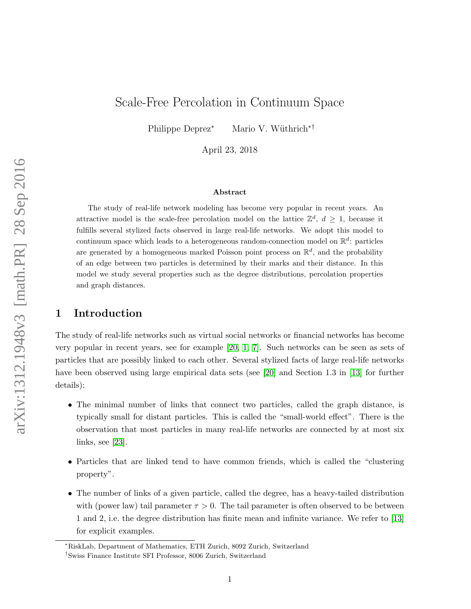# Scale-Free Percolation in Continuum Space

Philippe Deprez<sup>∗</sup> Mario V. Wüthrich<sup>∗†</sup>

April 23, 2018

#### ${\bf Abstract}$

The study of real-life network modeling has become very popular in recent years. An attractive model is the scale-free percolation model on the lattice  $\mathbb{Z}^d$ ,  $d \geq 1$ , because it fulfills several stylized facts observed in large real-life networks. We adopt this model to continuum space which leads to a heterogeneous random-connection model on  $\mathbb{R}^d$ : particles are generated by a homogeneous marked Poisson point process on  $\mathbb{R}^d$ , and the probability of an edge between two particles is determined by their marks and their distance. In this model we study several properties such as the degree distributions, percolation properties and graph distances.

# 1 Introduction

The study of real-life networks such as virtual social networks or financial networks has become very popular in recent years, see for example [\[20,](#page-30-0) [1,](#page-29-0) [7\]](#page-30-1). Such networks can be seen as sets of particles that are possibly linked to each other. Several stylized facts of large real-life networks have been observed using large empirical data sets (see [\[20\]](#page-30-0) and Section 1.3 in [\[13\]](#page-30-2) for further details):

- The minimal number of links that connect two particles, called the graph distance, is typically small for distant particles. This is called the "small-world effect". There is the observation that most particles in many real-life networks are connected by at most six links, see [\[23\]](#page-30-3).
- Particles that are linked tend to have common friends, which is called the "clustering property".
- The number of links of a given particle, called the degree, has a heavy-tailed distribution with (power law) tail parameter  $\tau > 0$ . The tail parameter is often observed to be between 1 and 2, i.e. the degree distribution has finite mean and infinite variance. We refer to [\[13\]](#page-30-2) for explicit examples.

<sup>∗</sup>RiskLab, Department of Mathematics, ETH Zurich, 8092 Zurich, Switzerland

<sup>†</sup>Swiss Finance Institute SFI Professor, 8006 Zurich, Switzerland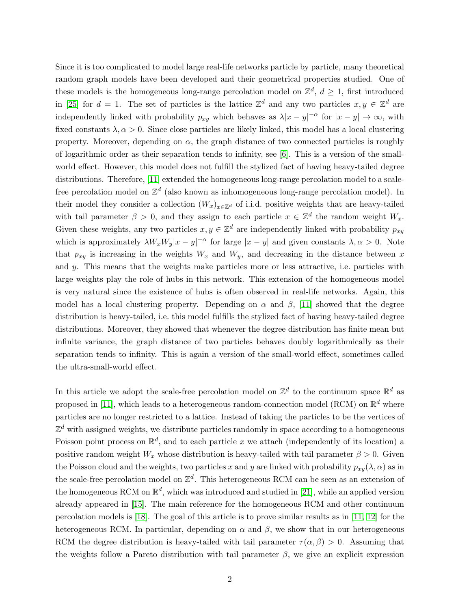Since it is too complicated to model large real-life networks particle by particle, many theoretical random graph models have been developed and their geometrical properties studied. One of these models is the homogeneous long-range percolation model on  $\mathbb{Z}^d$ ,  $d \geq 1$ , first introduced in [\[25\]](#page-30-4) for  $d = 1$ . The set of particles is the lattice  $\mathbb{Z}^d$  and any two particles  $x, y \in \mathbb{Z}^d$  are independently linked with probability  $p_{xy}$  which behaves as  $\lambda |x-y|^{-\alpha}$  for  $|x-y| \to \infty$ , with fixed constants  $\lambda, \alpha > 0$ . Since close particles are likely linked, this model has a local clustering property. Moreover, depending on  $\alpha$ , the graph distance of two connected particles is roughly of logarithmic order as their separation tends to infinity, see [\[6\]](#page-29-1). This is a version of the smallworld effect. However, this model does not fulfill the stylized fact of having heavy-tailed degree distributions. Therefore, [\[11\]](#page-30-5) extended the homogeneous long-range percolation model to a scalefree percolation model on  $\mathbb{Z}^d$  (also known as inhomogeneous long-range percolation model). In their model they consider a collection  $(W_x)_{x\in\mathbb{Z}^d}$  of i.i.d. positive weights that are heavy-tailed with tail parameter  $\beta > 0$ , and they assign to each particle  $x \in \mathbb{Z}^d$  the random weight  $W_x$ . Given these weights, any two particles  $x, y \in \mathbb{Z}^d$  are independently linked with probability  $p_{xy}$ which is approximately  $\lambda W_x W_y |x-y|^{-\alpha}$  for large  $|x-y|$  and given constants  $\lambda, \alpha > 0$ . Note that  $p_{xy}$  is increasing in the weights  $W_x$  and  $W_y$ , and decreasing in the distance between x and  $y$ . This means that the weights make particles more or less attractive, i.e. particles with large weights play the role of hubs in this network. This extension of the homogeneous model is very natural since the existence of hubs is often observed in real-life networks. Again, this model has a local clustering property. Depending on  $\alpha$  and  $\beta$ , [\[11\]](#page-30-5) showed that the degree distribution is heavy-tailed, i.e. this model fulfills the stylized fact of having heavy-tailed degree distributions. Moreover, they showed that whenever the degree distribution has finite mean but infinite variance, the graph distance of two particles behaves doubly logarithmically as their separation tends to infinity. This is again a version of the small-world effect, sometimes called the ultra-small-world effect.

In this article we adopt the scale-free percolation model on  $\mathbb{Z}^d$  to the continuum space  $\mathbb{R}^d$  as proposed in [\[11\]](#page-30-5), which leads to a heterogeneous random-connection model (RCM) on  $\mathbb{R}^d$  where particles are no longer restricted to a lattice. Instead of taking the particles to be the vertices of  $\mathbb{Z}^d$  with assigned weights, we distribute particles randomly in space according to a homogeneous Poisson point process on  $\mathbb{R}^d$ , and to each particle x we attach (independently of its location) a positive random weight  $W_x$  whose distribution is heavy-tailed with tail parameter  $\beta > 0$ . Given the Poisson cloud and the weights, two particles x and y are linked with probability  $p_{xy}(\lambda, \alpha)$  as in the scale-free percolation model on  $\mathbb{Z}^d$ . This heterogeneous RCM can be seen as an extension of the homogeneous RCM on  $\mathbb{R}^d$ , which was introduced and studied in [\[21\]](#page-30-6), while an applied version already appeared in [\[15\]](#page-30-7). The main reference for the homogeneous RCM and other continuum percolation models is [\[18\]](#page-30-8). The goal of this article is to prove similar results as in [\[11,](#page-30-5) [12\]](#page-30-9) for the heterogeneous RCM. In particular, depending on  $\alpha$  and  $\beta$ , we show that in our heterogeneous RCM the degree distribution is heavy-tailed with tail parameter  $\tau(\alpha, \beta) > 0$ . Assuming that the weights follow a Pareto distribution with tail parameter  $\beta$ , we give an explicit expression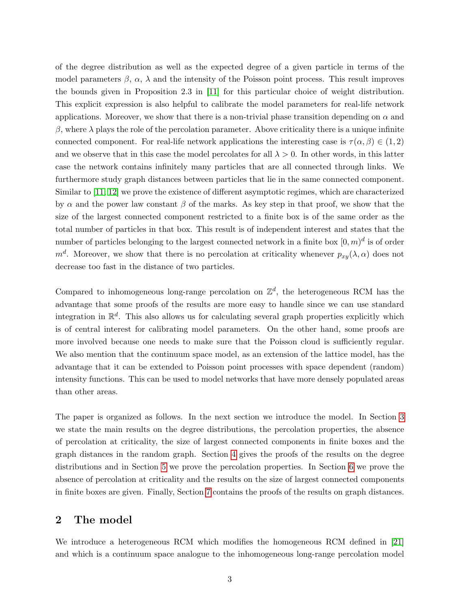of the degree distribution as well as the expected degree of a given particle in terms of the model parameters  $\beta$ ,  $\alpha$ ,  $\lambda$  and the intensity of the Poisson point process. This result improves the bounds given in Proposition 2.3 in [\[11\]](#page-30-5) for this particular choice of weight distribution. This explicit expression is also helpful to calibrate the model parameters for real-life network applications. Moreover, we show that there is a non-trivial phase transition depending on  $\alpha$  and  $β$ , where  $λ$  plays the role of the percolation parameter. Above criticality there is a unique infinite connected component. For real-life network applications the interesting case is  $\tau(\alpha, \beta) \in (1, 2)$ and we observe that in this case the model percolates for all  $\lambda > 0$ . In other words, in this latter case the network contains infinitely many particles that are all connected through links. We furthermore study graph distances between particles that lie in the same connected component. Similar to [\[11,](#page-30-5) [12\]](#page-30-9) we prove the existence of different asymptotic regimes, which are characterized by  $\alpha$  and the power law constant  $\beta$  of the marks. As key step in that proof, we show that the size of the largest connected component restricted to a finite box is of the same order as the total number of particles in that box. This result is of independent interest and states that the number of particles belonging to the largest connected network in a finite box  $[0,m)^d$  is of order  $m<sup>d</sup>$ . Moreover, we show that there is no percolation at criticality whenever  $p_{xy}(\lambda, \alpha)$  does not decrease too fast in the distance of two particles.

Compared to inhomogeneous long-range percolation on  $\mathbb{Z}^d$ , the heterogeneous RCM has the advantage that some proofs of the results are more easy to handle since we can use standard integration in  $\mathbb{R}^d$ . This also allows us for calculating several graph properties explicitly which is of central interest for calibrating model parameters. On the other hand, some proofs are more involved because one needs to make sure that the Poisson cloud is sufficiently regular. We also mention that the continuum space model, as an extension of the lattice model, has the advantage that it can be extended to Poisson point processes with space dependent (random) intensity functions. This can be used to model networks that have more densely populated areas than other areas.

The paper is organized as follows. In the next section we introduce the model. In Section [3](#page-3-0) we state the main results on the degree distributions, the percolation properties, the absence of percolation at criticality, the size of largest connected components in finite boxes and the graph distances in the random graph. Section [4](#page-8-0) gives the proofs of the results on the degree distributions and in Section [5](#page-11-0) we prove the percolation properties. In Section [6](#page-14-0) we prove the absence of percolation at criticality and the results on the size of largest connected components in finite boxes are given. Finally, Section [7](#page-18-0) contains the proofs of the results on graph distances.

# 2 The model

We introduce a heterogeneous RCM which modifies the homogeneous RCM defined in [\[21\]](#page-30-6) and which is a continuum space analogue to the inhomogeneous long-range percolation model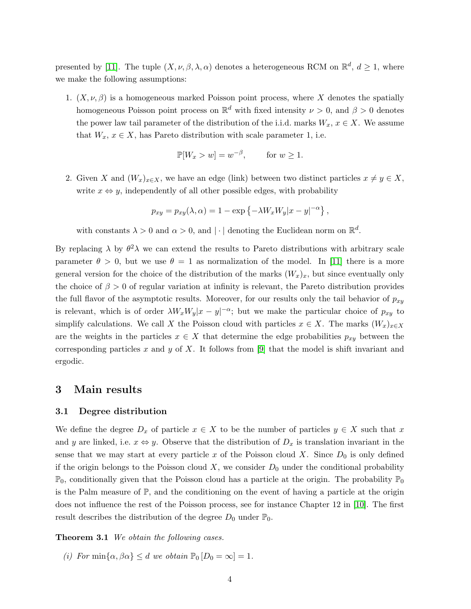presented by [\[11\]](#page-30-5). The tuple  $(X, \nu, \beta, \lambda, \alpha)$  denotes a heterogeneous RCM on  $\mathbb{R}^d$ ,  $d \geq 1$ , where we make the following assumptions:

1.  $(X, \nu, \beta)$  is a homogeneous marked Poisson point process, where X denotes the spatially homogeneous Poisson point process on  $\mathbb{R}^d$  with fixed intensity  $\nu > 0$ , and  $\beta > 0$  denotes the power law tail parameter of the distribution of the i.i.d. marks  $W_x, x \in X$ . We assume that  $W_x, x \in X$ , has Pareto distribution with scale parameter 1, i.e.

$$
\mathbb{P}[W_x > w] = w^{-\beta}, \quad \text{for } w \ge 1.
$$

2. Given X and  $(W_x)_{x\in X}$ , we have an edge (link) between two distinct particles  $x \neq y \in X$ , write  $x \Leftrightarrow y$ , independently of all other possible edges, with probability

$$
p_{xy} = p_{xy}(\lambda, \alpha) = 1 - \exp \{-\lambda W_x W_y |x - y|^{-\alpha}\},
$$

with constants  $\lambda > 0$  and  $\alpha > 0$ , and  $|\cdot|$  denoting the Euclidean norm on  $\mathbb{R}^d$ .

By replacing  $\lambda$  by  $\theta^2 \lambda$  we can extend the results to Pareto distributions with arbitrary scale parameter  $\theta > 0$ , but we use  $\theta = 1$  as normalization of the model. In [\[11\]](#page-30-5) there is a more general version for the choice of the distribution of the marks  $(W_x)_x$ , but since eventually only the choice of  $\beta > 0$  of regular variation at infinity is relevant, the Pareto distribution provides the full flavor of the asymptotic results. Moreover, for our results only the tail behavior of  $p_{xy}$ is relevant, which is of order  $\lambda W_x W_y |x-y|^{-\alpha}$ ; but we make the particular choice of  $p_{xy}$  to simplify calculations. We call X the Poisson cloud with particles  $x \in X$ . The marks  $(W_x)_{x \in X}$ are the weights in the particles  $x \in X$  that determine the edge probabilities  $p_{xy}$  between the corresponding particles x and y of X. It follows from [\[9\]](#page-30-10) that the model is shift invariant and ergodic.

### <span id="page-3-0"></span>3 Main results

### 3.1 Degree distribution

We define the degree  $D_x$  of particle  $x \in X$  to be the number of particles  $y \in X$  such that x and y are linked, i.e.  $x \Leftrightarrow y$ . Observe that the distribution of  $D_x$  is translation invariant in the sense that we may start at every particle x of the Poisson cloud X. Since  $D_0$  is only defined if the origin belongs to the Poisson cloud  $X$ , we consider  $D_0$  under the conditional probability  $\mathbb{P}_0$ , conditionally given that the Poisson cloud has a particle at the origin. The probability  $\mathbb{P}_0$ is the Palm measure of  $\mathbb{P}$ , and the conditioning on the event of having a particle at the origin does not influence the rest of the Poisson process, see for instance Chapter 12 in [\[10\]](#page-30-11). The first result describes the distribution of the degree  $D_0$  under  $\mathbb{P}_0$ .

<span id="page-3-1"></span>**Theorem 3.1** We obtain the following cases.

(i) For min $\{\alpha, \beta\alpha\} \le d$  we obtain  $\mathbb{P}_0[D_0 = \infty] = 1$ .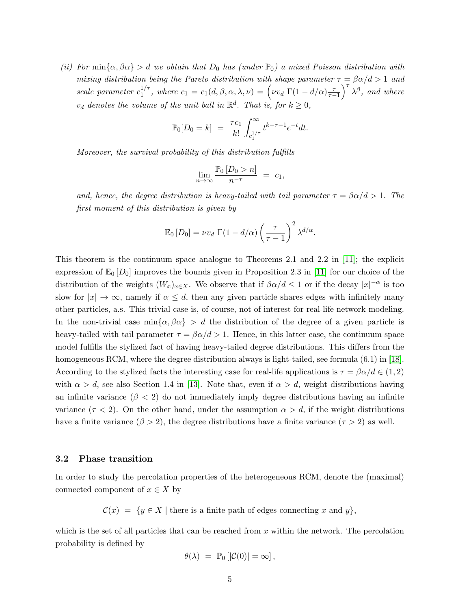(ii) For  $\min{\alpha, \beta \alpha} > d$  we obtain that  $D_0$  has (under  $\mathbb{P}_0$ ) a mixed Poisson distribution with mixing distribution being the Pareto distribution with shape parameter  $\tau = \beta \alpha/d > 1$  and scale parameter  $c_1^{1/\tau}$  $t_1^{1/\tau}$ , where  $c_1 = c_1(d, \beta, \alpha, \lambda, \nu) = \left(\nu v_d \Gamma(1 - d/\alpha) \frac{\tau}{\tau - 1}\right)^{\tau} \lambda^{\beta}$ , and where  $v_d$  denotes the volume of the unit ball in  $\mathbb{R}^d$ . That is, for  $k \geq 0$ ,

$$
\mathbb{P}_0[D_0 = k] = \frac{\tau c_1}{k!} \int_{c_1^{1/\tau}}^{\infty} t^{k-\tau-1} e^{-t} dt.
$$

Moreover, the survival probability of this distribution fulfills

$$
\lim_{n \to \infty} \frac{\mathbb{P}_0 \left[ D_0 > n \right]}{n^{-\tau}} = c_1,
$$

and, hence, the degree distribution is heavy-tailed with tail parameter  $\tau = \beta \alpha/d > 1$ . The first moment of this distribution is given by

$$
\mathbb{E}_0[D_0] = \nu v_d \Gamma(1 - d/\alpha) \left(\frac{\tau}{\tau - 1}\right)^2 \lambda^{d/\alpha}
$$

.

This theorem is the continuum space analogue to Theorems 2.1 and 2.2 in [\[11\]](#page-30-5); the explicit expression of  $\mathbb{E}_0$   $[D_0]$  improves the bounds given in Proposition 2.3 in [\[11\]](#page-30-5) for our choice of the distribution of the weights  $(W_x)_{x\in X}$ . We observe that if  $\beta\alpha/d \leq 1$  or if the decay  $|x|^{-\alpha}$  is too slow for  $|x| \to \infty$ , namely if  $\alpha \leq d$ , then any given particle shares edges with infinitely many other particles, a.s. This trivial case is, of course, not of interest for real-life network modeling. In the non-trivial case  $\min{\{\alpha, \beta\alpha\}} > d$  the distribution of the degree of a given particle is heavy-tailed with tail parameter  $\tau = \beta \alpha/d > 1$ . Hence, in this latter case, the continuum space model fulfills the stylized fact of having heavy-tailed degree distributions. This differs from the homogeneous RCM, where the degree distribution always is light-tailed, see formula (6.1) in [\[18\]](#page-30-8). According to the stylized facts the interesting case for real-life applications is  $\tau = \beta \alpha/d \in (1, 2)$ with  $\alpha > d$ , see also Section 1.4 in [\[13\]](#page-30-2). Note that, even if  $\alpha > d$ , weight distributions having an infinite variance  $(\beta < 2)$  do not immediately imply degree distributions having an infinite variance  $(\tau < 2)$ . On the other hand, under the assumption  $\alpha > d$ , if the weight distributions have a finite variance  $(\beta > 2)$ , the degree distributions have a finite variance  $(\tau > 2)$  as well.

### 3.2 Phase transition

In order to study the percolation properties of the heterogeneous RCM, denote the (maximal) connected component of  $x \in X$  by

 $\mathcal{C}(x) = \{y \in X \mid \text{there is a finite path of edges connecting } x \text{ and } y\},\$ 

which is the set of all particles that can be reached from  $x$  within the network. The percolation probability is defined by

$$
\theta(\lambda) = \mathbb{P}_0 [|\mathcal{C}(0)| = \infty],
$$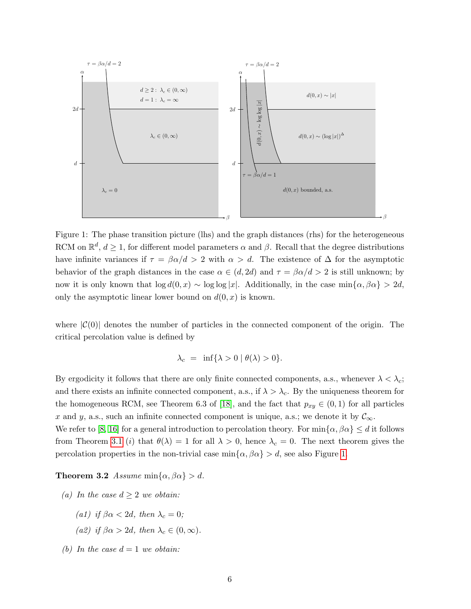<span id="page-5-0"></span>

Figure 1: The phase transition picture (lhs) and the graph distances (rhs) for the heterogeneous RCM on  $\mathbb{R}^d$ ,  $d \geq 1$ , for different model parameters  $\alpha$  and  $\beta$ . Recall that the degree distributions have infinite variances if  $\tau = \beta \alpha/d > 2$  with  $\alpha > d$ . The existence of  $\Delta$  for the asymptotic behavior of the graph distances in the case  $\alpha \in (d, 2d)$  and  $\tau = \beta \alpha/d > 2$  is still unknown; by now it is only known that  $\log d(0, x) \sim \log \log |x|$ . Additionally, in the case min $\{\alpha, \beta\alpha\} > 2d$ , only the asymptotic linear lower bound on  $d(0, x)$  is known.

where  $|\mathcal{C}(0)|$  denotes the number of particles in the connected component of the origin. The critical percolation value is defined by

$$
\lambda_c = \inf \{ \lambda > 0 \mid \theta(\lambda) > 0 \}.
$$

By ergodicity it follows that there are only finite connected components, a.s., whenever  $\lambda < \lambda_c$ ; and there exists an infinite connected component, a.s., if  $\lambda > \lambda_c$ . By the uniqueness theorem for the homogeneous RCM, see Theorem 6.3 of [\[18\]](#page-30-8), and the fact that  $p_{xy} \in (0,1)$  for all particles x and y, a.s., such an infinite connected component is unique, a.s.; we denote it by  $\mathcal{C}_{\infty}$ .

We refer to [\[8,](#page-30-12) [16\]](#page-30-13) for a general introduction to percolation theory. For  $\min{\alpha, \beta \alpha} \leq d$  it follows from Theorem [3.1](#page-3-1) (i) that  $\theta(\lambda) = 1$  for all  $\lambda > 0$ , hence  $\lambda_c = 0$ . The next theorem gives the percolation properties in the non-trivial case  $\min{\{\alpha, \beta\alpha\}} > d$ , see also Figure [1.](#page-5-0)

<span id="page-5-1"></span>**Theorem 3.2** Assume min $\{\alpha, \beta\alpha\} > d$ .

- <span id="page-5-2"></span>(a) In the case  $d \geq 2$  we obtain:
	- (a1) if  $\beta \alpha < 2d$ , then  $\lambda_c = 0$ ;
	- (a2) if  $\beta \alpha > 2d$ , then  $\lambda_c \in (0, \infty)$ .
- <span id="page-5-3"></span>(b) In the case  $d = 1$  we obtain: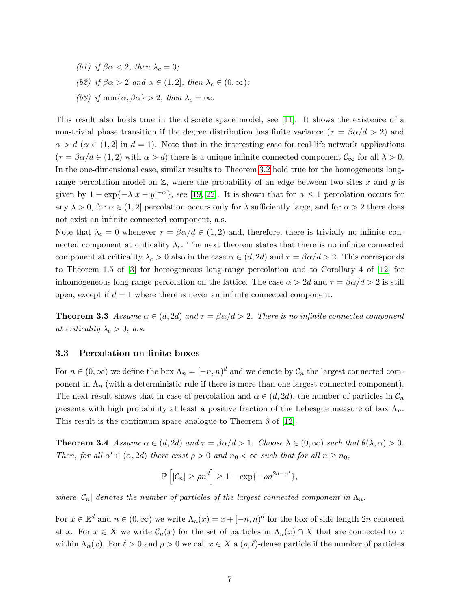<span id="page-6-1"></span><span id="page-6-0"></span>(b1) if  $\beta \alpha < 2$ , then  $\lambda_c = 0$ ; (b2) if  $\beta \alpha > 2$  and  $\alpha \in (1, 2]$ , then  $\lambda_c \in (0, \infty)$ ; (b3) if  $\min\{\alpha, \beta\alpha\} > 2$ , then  $\lambda_c = \infty$ .

<span id="page-6-2"></span>This result also holds true in the discrete space model, see [\[11\]](#page-30-5). It shows the existence of a non-trivial phase transition if the degree distribution has finite variance ( $\tau = \beta \alpha/d > 2$ ) and  $\alpha > d \ (\alpha \in (1,2] \text{ in } d = 1).$  Note that in the interesting case for real-life network applications  $(\tau = \beta \alpha/d \in (1, 2)$  with  $\alpha > d$ ) there is a unique infinite connected component  $\mathcal{C}_{\infty}$  for all  $\lambda > 0$ . In the one-dimensional case, similar results to Theorem [3.2](#page-5-1) hold true for the homogeneous longrange percolation model on  $\mathbb{Z}$ , where the probability of an edge between two sites x and y is given by  $1 - \exp\{-\lambda |x - y|^{-\alpha}\}$ , see [\[19,](#page-30-14) [22\]](#page-30-15). It is shown that for  $\alpha \le 1$  percolation occurs for any  $\lambda > 0$ , for  $\alpha \in (1, 2]$  percolation occurs only for  $\lambda$  sufficiently large, and for  $\alpha > 2$  there does not exist an infinite connected component, a.s.

Note that  $\lambda_c = 0$  whenever  $\tau = \beta \alpha/d \in (1, 2)$  and, therefore, there is trivially no infinite connected component at criticality  $\lambda_c$ . The next theorem states that there is no infinite connected component at criticality  $\lambda_c > 0$  also in the case  $\alpha \in (d, 2d)$  and  $\tau = \beta \alpha/d > 2$ . This corresponds to Theorem 1.5 of [\[3\]](#page-29-2) for homogeneous long-range percolation and to Corollary 4 of [\[12\]](#page-30-9) for inhomogeneous long-range percolation on the lattice. The case  $\alpha > 2d$  and  $\tau = \beta \alpha/d > 2$  is still open, except if  $d = 1$  where there is never an infinite connected component.

<span id="page-6-3"></span>**Theorem 3.3** Assume  $\alpha \in (d, 2d)$  and  $\tau = \beta \alpha/d > 2$ . There is no infinite connected component at criticality  $\lambda_c > 0$ , a.s.

#### <span id="page-6-5"></span>3.3 Percolation on finite boxes

For  $n \in (0,\infty)$  we define the box  $\Lambda_n = [-n,n)^d$  and we denote by  $\mathcal{C}_n$  the largest connected component in  $\Lambda_n$  (with a deterministic rule if there is more than one largest connected component). The next result shows that in case of percolation and  $\alpha \in (d, 2d)$ , the number of particles in  $\mathcal{C}_n$ presents with high probability at least a positive fraction of the Lebesgue measure of box  $\Lambda_n$ . This result is the continuum space analogue to Theorem 6 of [\[12\]](#page-30-9).

<span id="page-6-4"></span>**Theorem 3.4** Assume  $\alpha \in (d, 2d)$  and  $\tau = \beta \alpha/d > 1$ . Choose  $\lambda \in (0, \infty)$  such that  $\theta(\lambda, \alpha) > 0$ . Then, for all  $\alpha' \in (\alpha, 2d)$  there exist  $\rho > 0$  and  $n_0 < \infty$  such that for all  $n \ge n_0$ ,

$$
\mathbb{P}\left[|\mathcal{C}_n| \ge \rho n^d\right] \ge 1 - \exp\{-\rho n^{2d-\alpha'}\},\
$$

where  $|\mathcal{C}_n|$  denotes the number of particles of the largest connected component in  $\Lambda_n$ .

For  $x \in \mathbb{R}^d$  and  $n \in (0,\infty)$  we write  $\Lambda_n(x) = x + [-n,n]^d$  for the box of side length 2n centered at x. For  $x \in X$  we write  $\mathcal{C}_n(x)$  for the set of particles in  $\Lambda_n(x) \cap X$  that are connected to x within  $\Lambda_n(x)$ . For  $\ell > 0$  and  $\rho > 0$  we call  $x \in X$  a  $(\rho, \ell)$ -dense particle if the number of particles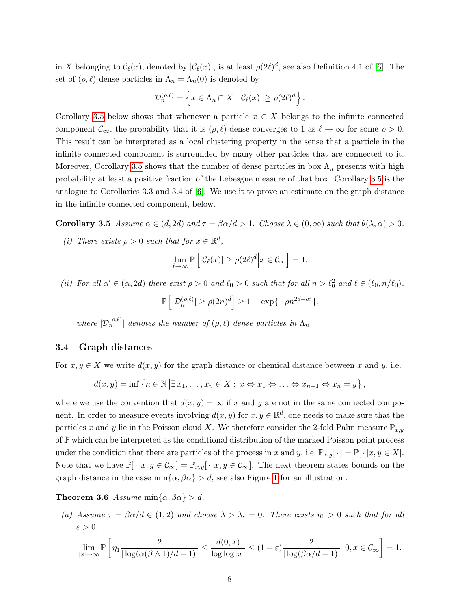in X belonging to  $\mathcal{C}_{\ell}(x)$ , denoted by  $|\mathcal{C}_{\ell}(x)|$ , is at least  $\rho(2\ell)^d$ , see also Definition 4.1 of [\[6\]](#page-29-1). The set of  $(\rho, \ell)$ -dense particles in  $\Lambda_n = \Lambda_n(0)$  is denoted by

$$
\mathcal{D}_n^{(\rho,\ell)} = \left\{ x \in \Lambda_n \cap X \mid |\mathcal{C}_{\ell}(x)| \ge \rho(2\ell)^d \right\}.
$$

Corollary [3.5](#page-7-0) below shows that whenever a particle  $x \in X$  belongs to the infinite connected component  $\mathcal{C}_{\infty}$ , the probability that it is  $(\rho, \ell)$ -dense converges to 1 as  $\ell \to \infty$  for some  $\rho > 0$ . This result can be interpreted as a local clustering property in the sense that a particle in the infinite connected component is surrounded by many other particles that are connected to it. Moreover, Corollary [3.5](#page-7-0) shows that the number of dense particles in box  $\Lambda_n$  presents with high probability at least a positive fraction of the Lebesgue measure of that box. Corollary [3.5](#page-7-0) is the analogue to Corollaries 3.3 and 3.4 of [\[6\]](#page-29-1). We use it to prove an estimate on the graph distance in the infinite connected component, below.

<span id="page-7-0"></span>**Corollary 3.5** Assume  $\alpha \in (d, 2d)$  and  $\tau = \beta \alpha/d > 1$ . Choose  $\lambda \in (0, \infty)$  such that  $\theta(\lambda, \alpha) > 0$ .

(i) There exists  $\rho > 0$  such that for  $x \in \mathbb{R}^d$ ,

$$
\lim_{\ell \to \infty} \mathbb{P}\left[|\mathcal{C}_{\ell}(x)| \ge \rho(2\ell)^d \Big| x \in \mathcal{C}_{\infty}\right] = 1.
$$

(ii) For all  $\alpha' \in (\alpha, 2d)$  there exist  $\rho > 0$  and  $\ell_0 > 0$  such that for all  $n > \ell_0^2$  and  $\ell \in (\ell_0, n/\ell_0)$ ,

$$
\mathbb{P}\left[|\mathcal{D}_n^{(\rho,\ell)}| \ge \rho(2n)^d\right] \ge 1 - \exp\{-\rho n^{2d-\alpha'}\},\,
$$

where  $|\mathcal{D}_n^{(\rho,\ell)}|$  denotes the number of  $(\rho,\ell)$ -dense particles in  $\Lambda_n$ .

### 3.4 Graph distances

For  $x, y \in X$  we write  $d(x, y)$  for the graph distance or chemical distance between x and y, i.e.

$$
d(x,y) = \inf \{ n \in \mathbb{N} \mid \exists x_1, \dots, x_n \in X : x \Leftrightarrow x_1 \Leftrightarrow \dots \Leftrightarrow x_{n-1} \Leftrightarrow x_n = y \},
$$

where we use the convention that  $d(x, y) = \infty$  if x and y are not in the same connected component. In order to measure events involving  $d(x, y)$  for  $x, y \in \mathbb{R}^d$ , one needs to make sure that the particles x and y lie in the Poisson cloud X. We therefore consider the 2-fold Palm measure  $\mathbb{P}_{x,y}$ of  $\mathbb P$  which can be interpreted as the conditional distribution of the marked Poisson point process under the condition that there are particles of the process in x and y, i.e.  $\mathbb{P}_{x,y}[\cdot] = \mathbb{P}[\cdot | x, y \in X].$ Note that we have  $\mathbb{P}[\cdot | x, y \in \mathcal{C}_{\infty}] = \mathbb{P}_{x,y}[\cdot | x, y \in \mathcal{C}_{\infty}]$ . The next theorem states bounds on the graph distance in the case  $\min{\{\alpha, \beta\alpha\}} > d$ , see also Figure [1](#page-5-0) for an illustration.

<span id="page-7-1"></span>**Theorem 3.6** Assume min $\{\alpha, \beta\alpha\} > d$ .

(a) Assume  $\tau = \beta \alpha/d \in (1, 2)$  and choose  $\lambda > \lambda_c = 0$ . There exists  $\eta_1 > 0$  such that for all  $\varepsilon > 0$ ,

$$
\lim_{|x| \to \infty} \mathbb{P}\left[\eta_1 \frac{2}{|\log(\alpha(\beta \wedge 1)/d-1)|} \le \frac{d(0,x)}{\log \log |x|} \le (1+\varepsilon) \frac{2}{|\log(\beta\alpha/d-1)|} \right| 0, x \in \mathcal{C}_{\infty}\right] = 1.
$$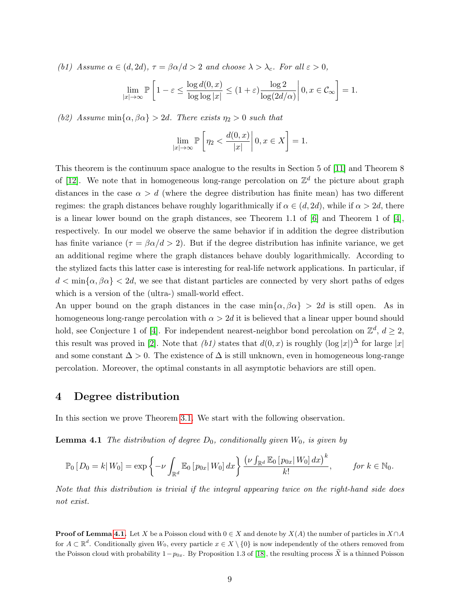(b1) Assume  $\alpha \in (d, 2d)$ ,  $\tau = \beta \alpha/d > 2$  and choose  $\lambda > \lambda_c$ . For all  $\varepsilon > 0$ ,

$$
\lim_{|x| \to \infty} \mathbb{P}\left[1 - \varepsilon \le \frac{\log d(0, x)}{\log \log |x|} \le (1 + \varepsilon) \frac{\log 2}{\log(2d/\alpha)} \middle| 0, x \in C_{\infty} \right] = 1.
$$

(b2) Assume min $\{\alpha, \beta\alpha\} > 2d$ . There exists  $\eta_2 > 0$  such that

$$
\lim_{|x| \to \infty} \mathbb{P}\left[\eta_2 < \frac{d(0, x)}{|x|} \middle| 0, x \in X\right] = 1.
$$

This theorem is the continuum space analogue to the results in Section 5 of [\[11\]](#page-30-5) and Theorem 8 of [\[12\]](#page-30-9). We note that in homogeneous long-range percolation on  $\mathbb{Z}^d$  the picture about graph distances in the case  $\alpha > d$  (where the degree distribution has finite mean) has two different regimes: the graph distances behave roughly logarithmically if  $\alpha \in (d, 2d)$ , while if  $\alpha > 2d$ , there is a linear lower bound on the graph distances, see Theorem 1.1 of  $[6]$  and Theorem 1 of  $[4]$ , respectively. In our model we observe the same behavior if in addition the degree distribution has finite variance ( $\tau = \beta \alpha/d > 2$ ). But if the degree distribution has infinite variance, we get an additional regime where the graph distances behave doubly logarithmically. According to the stylized facts this latter case is interesting for real-life network applications. In particular, if  $d < \min{\{\alpha, \beta\alpha\}} < 2d$ , we see that distant particles are connected by very short paths of edges which is a version of the (ultra-) small-world effect.

An upper bound on the graph distances in the case  $\min{\{\alpha, \beta\alpha\}} > 2d$  is still open. As in homogeneous long-range percolation with  $\alpha > 2d$  it is believed that a linear upper bound should hold, see Conjecture 1 of [\[4\]](#page-29-3). For independent nearest-neighbor bond percolation on  $\mathbb{Z}^d$ ,  $d \geq 2$ , this result was proved in [\[2\]](#page-29-4). Note that  $(b1)$  states that  $d(0, x)$  is roughly  $(\log |x|)^{\Delta}$  for large  $|x|$ and some constant  $\Delta > 0$ . The existence of  $\Delta$  is still unknown, even in homogeneous long-range percolation. Moreover, the optimal constants in all asymptotic behaviors are still open.

### <span id="page-8-0"></span>4 Degree distribution

<span id="page-8-1"></span>In this section we prove Theorem [3.1.](#page-3-1) We start with the following observation.

**Lemma 4.1** The distribution of degree  $D_0$ , conditionally given  $W_0$ , is given by

$$
\mathbb{P}_0\left[D_0 = k | W_0\right] = \exp\left\{-\nu \int_{\mathbb{R}^d} \mathbb{E}_0\left[p_{0x} | W_0\right] dx\right\} \frac{\left(\nu \int_{\mathbb{R}^d} \mathbb{E}_0\left[p_{0x} | W_0\right] dx\right)^k}{k!}, \quad \text{for } k \in \mathbb{N}_0.
$$

Note that this distribution is trivial if the integral appearing twice on the right-hand side does not exist.

**Proof of Lemma [4.1.](#page-8-1)** Let X be a Poisson cloud with  $0 \in X$  and denote by  $X(A)$  the number of particles in  $X \cap A$ for  $A \subset \mathbb{R}^d$ . Conditionally given  $W_0$ , every particle  $x \in X \setminus \{0\}$  is now independently of the others removed from the Poisson cloud with probability  $1-p_{0x}$ . By Proposition 1.3 of [\[18\]](#page-30-8), the resulting process  $\widetilde{X}$  is a thinned Poisson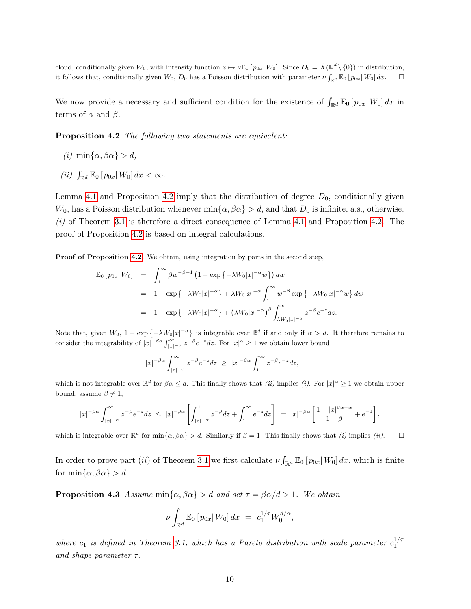cloud, conditionally given  $W_0$ , with intensity function  $x \mapsto \nu \mathbb{E}_0[p_{0x}|W_0]$ . Since  $D_0 = \tilde{X}(\mathbb{R}^d \setminus \{0\})$  in distribution, it follows that, conditionally given  $W_0$ ,  $D_0$  has a Poisson distribution with parameter  $\nu \int_{\mathbb{R}^d} \mathbb{E}_0 [p_{0x} | W_0] dx$ .  $\Box$ 

We now provide a necessary and sufficient condition for the existence of  $\int_{\mathbb{R}^d} \mathbb{E}_0 [p_{0x}|W_0] dx$  in terms of  $\alpha$  and  $\beta$ .

<span id="page-9-0"></span>**Proposition 4.2** The following two statements are equivalent:

- (i) min{ $\alpha$ ,  $\beta \alpha$ } > d;
- (ii)  $\int_{\mathbb{R}^d} \mathbb{E}_0 [p_{0x} | W_0] dx < \infty$ .

Lemma [4.1](#page-8-1) and Proposition [4.2](#page-9-0) imply that the distribution of degree  $D_0$ , conditionally given  $W_0$ , has a Poisson distribution whenever min $\{\alpha, \beta\alpha\} > d$ , and that  $D_0$  is infinite, a.s., otherwise.  $(i)$  of Theorem [3.1](#page-3-1) is therefore a direct consequence of Lemma [4.1](#page-8-1) and Proposition [4.2.](#page-9-0) The proof of Proposition [4.2](#page-9-0) is based on integral calculations.

Proof of Proposition [4.2.](#page-9-0) We obtain, using integration by parts in the second step,

$$
\mathbb{E}_0[p_{0x}|W_0] = \int_1^\infty \beta w^{-\beta - 1} \left(1 - \exp\left\{-\lambda W_0|x|^{-\alpha}w\right\}\right) dw
$$
  
\n
$$
= 1 - \exp\left\{-\lambda W_0|x|^{-\alpha}\right\} + \lambda W_0|x|^{-\alpha} \int_1^\infty w^{-\beta} \exp\left\{-\lambda W_0|x|^{-\alpha}w\right\} dw
$$
  
\n
$$
= 1 - \exp\left\{-\lambda W_0|x|^{-\alpha}\right\} + \left(\lambda W_0|x|^{-\alpha}\right)^\beta \int_{\lambda W_0|x|^{-\alpha}}^\infty z^{-\beta} e^{-z} dz.
$$

Note that, given  $W_0$ ,  $1 - \exp\{-\lambda W_0 |x|^{-\alpha}\}\$ is integrable over  $\mathbb{R}^d$  if and only if  $\alpha > d$ . It therefore remains to consider the integrability of  $|x|^{-\beta\alpha} \int_{|x|^{-\alpha}}^{\infty} z^{-\beta} e^{-z} dz$ . For  $|x|^{\alpha} \geq 1$  we obtain lower bound

$$
|x|^{-\beta\alpha}\int_{|x|^{-\alpha}}^{\infty}z^{-\beta}e^{-z}dz \ \geq \ |x|^{-\beta\alpha}\int_{1}^{\infty}z^{-\beta}e^{-z}dz,
$$

which is not integrable over  $\mathbb{R}^d$  for  $\beta \alpha \leq d$ . This finally shows that *(ii)* implies *(i)*. For  $|x|^{\alpha} \geq 1$  we obtain upper bound, assume  $\beta \neq 1$ ,

$$
|x|^{-\beta\alpha} \int_{|x|^{-\alpha}}^{\infty} z^{-\beta} e^{-z} dz \leq |x|^{-\beta\alpha} \left[ \int_{|x|^{-\alpha}}^{1} z^{-\beta} dz + \int_{1}^{\infty} e^{-z} dz \right] = |x|^{-\beta\alpha} \left[ \frac{1-|x|^{\beta\alpha-\alpha}}{1-\beta} + e^{-1} \right],
$$

which is integrable over  $\mathbb{R}^d$  for  $\min\{\alpha, \beta\alpha\} > d$ . Similarly if  $\beta = 1$ . This finally shows that *(i)* implies *(ii)*.

In order to prove part (*ii*) of Theorem [3.1](#page-3-1) we first calculate  $\nu \int_{\mathbb{R}^d} \mathbb{E}_0 [p_{0x}|W_0] dx$ , which is finite for min $\{\alpha, \beta\alpha\} > d$ .

<span id="page-9-1"></span>**Proposition 4.3** Assume min $\{\alpha, \beta\alpha\} > d$  and set  $\tau = \beta\alpha/d > 1$ . We obtain

$$
\nu \int_{\mathbb{R}^d} \mathbb{E}_0 \left[ p_{0x} | W_0 \right] dx = c_1^{1/\tau} W_0^{d/\alpha},
$$

where  $c_1$  is defined in Theorem [3.1,](#page-3-1) which has a Pareto distribution with scale parameter  $c_1^{1/\tau}$ 1 and shape parameter  $\tau$ .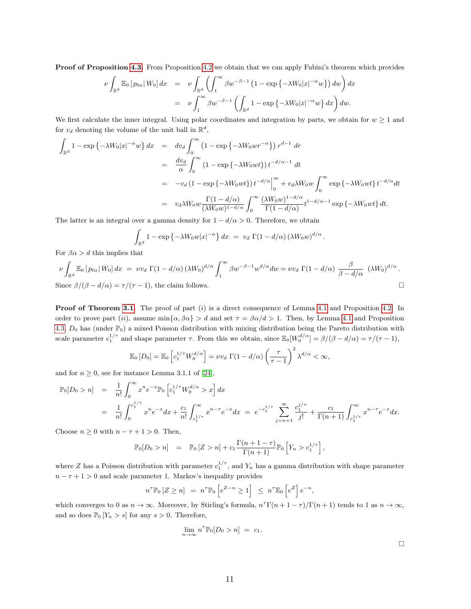Proof of Proposition [4.3.](#page-9-1) From Proposition [4.2](#page-9-0) we obtain that we can apply Fubini's theorem which provides

$$
\nu \int_{\mathbb{R}^d} \mathbb{E}_0 \left[ p_{0x} \middle| W_0 \right] dx = \nu \int_{\mathbb{R}^d} \left( \int_1^\infty \beta w^{-\beta - 1} \left( 1 - \exp \left\{ -\lambda W_0 \middle| x \right|^{-\alpha} w \right\} \right) dw \right) dx
$$
  
= 
$$
\nu \int_1^\infty \beta w^{-\beta - 1} \left( \int_{\mathbb{R}^d} 1 - \exp \left\{ -\lambda W_0 \middle| x \right|^{-\alpha} w \right\} dx \right) dw.
$$

We first calculate the inner integral. Using polar coordinates and integration by parts, we obtain for  $w \ge 1$  and for  $v_d$  denoting the volume of the unit ball in  $\mathbb{R}^d$ ,

$$
\int_{\mathbb{R}^d} 1 - \exp\left\{-\lambda W_0 |x|^{-\alpha} w\right\} dx = dv_d \int_0^{\infty} \left(1 - \exp\left\{-\lambda W_0 w r^{-\alpha}\right\}\right) r^{d-1} dr
$$
\n
$$
= \frac{dv_d}{\alpha} \int_0^{\infty} \left(1 - \exp\left\{-\lambda W_0 w t\right\}\right) t^{-d/\alpha - 1} dt
$$
\n
$$
= -v_d \left(1 - \exp\left\{-\lambda W_0 w t\right\}\right) t^{-d/\alpha} \Big|_0^{\infty} + v_d \lambda W_0 w \int_0^{\infty} \exp\left\{-\lambda W_0 w t\right\} t^{-d/\alpha} dt
$$
\n
$$
= v_d \lambda W_0 w \frac{\Gamma(1 - d/\alpha)}{(\lambda W_0 w)^{1 - d/\alpha}} \int_0^{\infty} \frac{(\lambda W_0 w)^{1 - d/\alpha}}{\Gamma(1 - d/\alpha)} t^{1 - d/\alpha - 1} \exp\left\{-\lambda W_0 w t\right\} dt.
$$

The latter is an integral over a gamma density for  $1 - d/\alpha > 0$ . Therefore, we obtain

$$
\int_{\mathbb{R}^d} 1 - \exp \left\{-\lambda W_0 w |x|^{-\alpha} \right\} dx = v_d \Gamma(1 - d/\alpha) \left(\lambda W_0 w\right)^{d/\alpha}
$$

For  $\beta \alpha > d$  this implies that

$$
\nu \int_{\mathbb{R}^d} \mathbb{E}_0 \left[ p_{0x} | W_0 \right] dx = \nu v_d \Gamma(1 - d/\alpha) \left( \lambda W_0 \right)^{d/\alpha} \int_1^{\infty} \beta w^{-\beta - 1} w^{d/\alpha} dw = \nu v_d \Gamma(1 - d/\alpha) \frac{\beta}{\beta - d/\alpha} \left( \lambda W_0 \right)^{d/\alpha}.
$$
  
Since  $\beta/(\beta - d/\alpha) = \tau/(\tau - 1)$ , the claim follows.

**Proof of Theorem [3.1.](#page-3-1)** The proof of part (i) is a direct consequence of Lemma [4.1](#page-8-1) and Proposition [4.2.](#page-9-0) In order to prove part (ii), assume  $\min{\{\alpha, \beta \alpha\}} > d$  and set  $\tau = \beta \alpha/d > 1$ . Then, by Lemma [4.1](#page-8-1) and Proposition [4.3,](#page-9-1)  $D_0$  has (under  $\mathbb{P}_0$ ) a mixed Poisson distribution with mixing distribution being the Pareto distribution with scale parameter  $c_1^{1/\tau}$  and shape parameter  $\tau$ . From this we obtain, since  $\mathbb{E}_0[W_0^{d/\alpha}] = \beta/(\beta - d/\alpha) = \tau/(\tau - 1)$ ,

$$
\mathbb{E}_0[D_0] = \mathbb{E}_0\left[c_1^{1/\tau}W_0^{d/\alpha}\right] = \nu v_d \Gamma(1-d/\alpha)\left(\frac{\tau}{\tau-1}\right)^2 \lambda^{d/\alpha} < \infty,
$$

and for  $n \geq 0$ , see for instance Lemma 3.1.1 of [\[24\]](#page-30-16),

$$
\mathbb{P}_0[D_0 > n] = \frac{1}{n!} \int_0^\infty x^n e^{-x} \mathbb{P}_0 \left[ c_1^{1/\tau} W_0^{d/\alpha} > x \right] dx
$$
  
\n
$$
= \frac{1}{n!} \int_0^{c_1^{1/\tau}} x^n e^{-x} dx + \frac{c_1}{n!} \int_{c_1^{1/\tau}}^\infty x^{n-\tau} e^{-x} dx = e^{-c_1^{1/\tau}} \sum_{j=n+1}^\infty \frac{c_1^{j/\tau}}{j!} + \frac{c_1}{\Gamma(n+1)} \int_{c_1^{1/\tau}}^\infty x^{n-\tau} e^{-x} dx.
$$

Choose  $n \geq 0$  with  $n - \tau + 1 > 0$ . Then,

$$
\mathbb{P}_0[D_0 > n] = \mathbb{P}_0[Z > n] + c_1 \frac{\Gamma(n+1-\tau)}{\Gamma(n+1)} \mathbb{P}_0 \left[ Y_n > c_1^{1/\tau} \right],
$$

where Z has a Poisson distribution with parameter  $c_1^{1/\tau}$ , and  $Y_n$  has a gamma distribution with shape parameter  $n - \tau + 1 > 0$  and scale parameter 1. Markov's inequality provides

$$
n^{\tau}\mathbb{P}_0\left[Z\geq n\right] = n^{\tau}\mathbb{P}_0\left[e^{Z-n}\geq 1\right] \leq n^{\tau}\mathbb{E}_0\left[e^Z\right]e^{-n},
$$

which converges to 0 as  $n \to \infty$ . Moreover, by Stirling's formula,  $n^T \Gamma(n+1-\tau)/\Gamma(n+1)$  tends to 1 as  $n \to \infty$ , and so does  $\mathbb{P}_0$  [ $Y_n > s$ ] for any  $s > 0$ . Therefore,

$$
\lim_{n \to \infty} n^{\tau} \mathbb{P}_0[D_0 > n] = c_1.
$$

.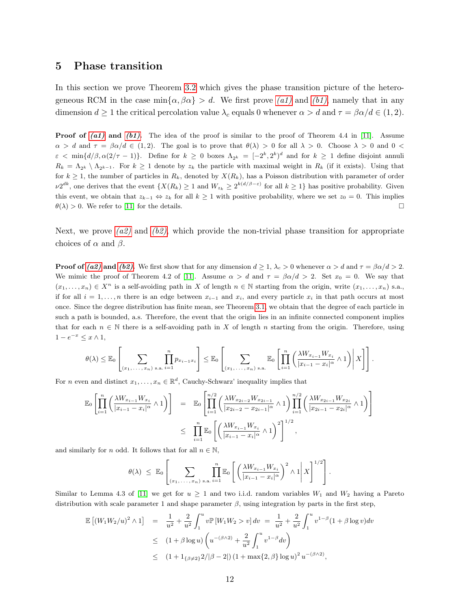### <span id="page-11-0"></span>5 Phase transition

In this section we prove Theorem [3.2](#page-5-1) which gives the phase transition picture of the heterogeneous RCM in the case  $\min{\alpha, \beta\alpha} > d$ . We first prove [\(a1\)](#page-5-2) and [\(b1\)](#page-6-0), namely that in any dimension  $d \ge 1$  the critical percolation value  $\lambda_c$  equals 0 whenever  $\alpha > d$  and  $\tau = \beta \alpha/d \in (1, 2)$ .

**Proof of [\(a1\)](#page-5-2) and [\(b1\)](#page-6-0).** The idea of the proof is similar to the proof of Theorem 4.4 in [\[11\]](#page-30-5). Assume  $\alpha > d$  and  $\tau = \beta \alpha/d \in (1, 2)$ . The goal is to prove that  $\theta(\lambda) > 0$  for all  $\lambda > 0$ . Choose  $\lambda > 0$  and  $0 <$  $\varepsilon < \min\{d/\beta, \alpha(2/\tau - 1)\}\.$  Define for  $k \geq 0$  boxes  $\Lambda_{2^k} = [-2^k, 2^k)^d$  and for  $k \geq 1$  define disjoint annuli  $R_k = \Lambda_{2k} \setminus \Lambda_{2k-1}$ . For  $k \ge 1$  denote by  $z_k$  the particle with maximal weight in  $R_k$  (if it exists). Using that for  $k \geq 1$ , the number of particles in  $R_k$ , denoted by  $X(R_k)$ , has a Poisson distribution with parameter of order  $\nu 2^{dk}$ , one derives that the event  $\{X(R_k) \geq 1 \text{ and } W_{z_k} \geq 2^{k(d/\beta - \varepsilon)} \text{ for all } k \geq 1\}$  has positive probability. Given this event, we obtain that  $z_{k-1} \Leftrightarrow z_k$  for all  $k \ge 1$  with positive probability, where we set  $z_0 = 0$ . This implies  $\theta(\lambda) > 0$ . We refer to [\[11\]](#page-30-5) for the details.

Next, we prove [\(a2\)](#page-5-3) and [\(b2\)](#page-6-1), which provide the non-trivial phase transition for appropriate choices of  $\alpha$  and  $\beta$ .

**Proof of [\(a2\)](#page-5-3) and [\(b2\)](#page-6-1).** We first show that for any dimension  $d \geq 1$ ,  $\lambda_c > 0$  whenever  $\alpha > d$  and  $\tau = \beta \alpha/d > 2$ . We mimic the proof of Theorem 4.2 of [\[11\]](#page-30-5). Assume  $\alpha > d$  and  $\tau = \beta \alpha/d > 2$ . Set  $x_0 = 0$ . We say that  $(x_1, \ldots, x_n) \in X^n$  is a self-avoiding path in X of length  $n \in \mathbb{N}$  starting from the origin, write  $(x_1, \ldots, x_n)$  s.a., if for all  $i = 1, \ldots, n$  there is an edge between  $x_{i-1}$  and  $x_i$ , and every particle  $x_i$  in that path occurs at most once. Since the degree distribution has finite mean, see Theorem [3.1,](#page-3-1) we obtain that the degree of each particle in such a path is bounded, a.s. Therefore, the event that the origin lies in an infinite connected component implies that for each  $n \in \mathbb{N}$  there is a self-avoiding path in X of length n starting from the origin. Therefore, using  $1-e^{-x} \leq x \wedge 1$ ,

$$
\theta(\lambda) \leq \mathbb{E}_{0}\left[\sum_{(x_1,\ldots,x_n)\text{ s.a. }i=1} \prod_{i=1}^n p_{x_{i-1}x_i}\right] \leq \mathbb{E}_{0}\left[\sum_{(x_1,\ldots,x_n)\text{ s.a.}} \mathbb{E}_{0}\left[\prod_{i=1}^n \left(\frac{\lambda W_{x_{i-1}}W_{x_i}}{|x_{i-1}-x_i|^{\alpha}} \wedge 1\right)\bigg|\,X\right]\right].
$$

For *n* even and distinct  $x_1, \ldots, x_n \in \mathbb{R}^d$ , Cauchy-Schwarz' inequality implies that

$$
\mathbb{E}_{0}\left[\prod_{i=1}^{n}\left(\frac{\lambda W_{x_{i-1}}W_{x_{i}}}{|x_{i-1}-x_{i}|^{\alpha}}\wedge 1\right)\right] = \mathbb{E}_{0}\left[\prod_{i=1}^{n/2}\left(\frac{\lambda W_{x_{2i-2}}W_{x_{2i-1}}}{|x_{2i-2}-x_{2i-1}|^{\alpha}}\wedge 1\right)\prod_{i=1}^{n/2}\left(\frac{\lambda W_{x_{2i-1}}W_{x_{2i}}}{|x_{2i-1}-x_{2i}|^{\alpha}}\wedge 1\right)\right]
$$
  

$$
\leq \prod_{i=1}^{n}\mathbb{E}_{0}\left[\left(\frac{\lambda W_{x_{i-1}}W_{x_{i}}}{|x_{i-1}-x_{i}|^{\alpha}}\wedge 1\right)^{2}\right]^{1/2},
$$

and similarly for n odd. It follows that for all  $n \in \mathbb{N}$ ,

$$
\theta(\lambda) \leq \mathbb{E}_0 \left[ \sum_{(x_1, \ldots, x_n) \text{ s.a. } i=1} \prod_{i=1}^n \mathbb{E}_0 \left[ \left( \frac{\lambda W_{x_{i-1}} W_{x_i}}{|x_{i-1} - x_i|^{\alpha}} \right)^2 \wedge 1 \right| X \right]^{1/2} \right].
$$

Similar to Lemma 4.3 of [\[11\]](#page-30-5) we get for  $u \ge 1$  and two i.i.d. random variables  $W_1$  and  $W_2$  having a Pareto distribution with scale parameter 1 and shape parameter  $\beta$ , using integration by parts in the first step,

$$
\mathbb{E}[(W_1 W_2/u)^2 \wedge 1] = \frac{1}{u^2} + \frac{2}{u^2} \int_1^u v \mathbb{P}[W_1 W_2 > v] dv = \frac{1}{u^2} + \frac{2}{u^2} \int_1^u v^{1-\beta} (1 + \beta \log v) dv
$$
  
\n
$$
\leq (1 + \beta \log u) \left( u^{-(\beta \wedge 2)} + \frac{2}{u^2} \int_1^u v^{1-\beta} dv \right)
$$
  
\n
$$
\leq (1 + 1_{\{\beta \neq 2\}} 2/|\beta - 2|) (1 + \max\{2, \beta\} \log u)^2 u^{-(\beta \wedge 2)},
$$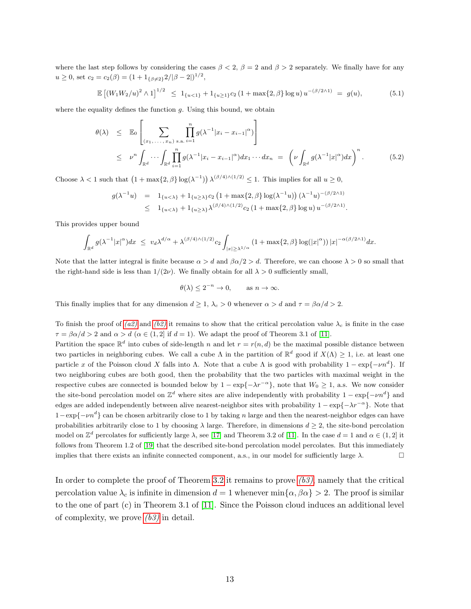where the last step follows by considering the cases  $\beta < 2$ ,  $\beta = 2$  and  $\beta > 2$  separately. We finally have for any  $u \geq 0$ , set  $c_2 = c_2(\beta) = (1 + 1_{\{\beta \neq 2\}} 2/|\beta - 2|)^{1/2}$ ,

<span id="page-12-1"></span>
$$
\mathbb{E}\left[\left(W_1W_2/u\right)^2 \wedge 1\right]^{1/2} \le 1_{\{u < 1\}} + 1_{\{u \ge 1\}} c_2 \left(1 + \max\{2, \beta\} \log u\right) u^{-(\beta/2 \wedge 1)} = g(u),\tag{5.1}
$$

where the equality defines the function  $q$ . Using this bound, we obtain

<span id="page-12-0"></span>
$$
\theta(\lambda) \leq \mathbb{E}_{0} \left[ \sum_{(x_1, \ldots, x_n) \text{ s.a. } i=1} \prod_{i=1}^{n} g(\lambda^{-1} |x_i - x_{i-1}|^{\alpha}) \right]
$$
\n
$$
\leq \nu^n \int_{\mathbb{R}^d} \cdots \int_{\mathbb{R}^d} \prod_{i=1}^{n} g(\lambda^{-1} |x_i - x_{i-1}|^{\alpha}) dx_1 \cdots dx_n = \left( \nu \int_{\mathbb{R}^d} g(\lambda^{-1} |x|^{\alpha}) dx \right)^n. \tag{5.2}
$$

Choose  $\lambda < 1$  such that  $(1 + \max\{2, \beta\} \log(\lambda^{-1})) \lambda^{(\beta/4)\wedge(1/2)} \leq 1$ . This implies for all  $u \geq 0$ ,

$$
g(\lambda^{-1}u) = 1_{\{u<\lambda\}} + 1_{\{u\geq \lambda\}}c_2(1 + \max\{2,\beta\}\log(\lambda^{-1}u))(\lambda^{-1}u)^{-(\beta/2\wedge 1)}
$$
  
 
$$
\leq 1_{\{u<\lambda\}} + 1_{\{u\geq \lambda\}}\lambda^{(\beta/4)\wedge(1/2)}c_2(1 + \max\{2,\beta\}\log u)u^{-(\beta/2\wedge 1)}.
$$

This provides upper bound

$$
\int_{\mathbb{R}^d} g(\lambda^{-1}|x|^\alpha)dx \ \leq \ v_d\lambda^{d/\alpha} + \lambda^{(\beta/4)\wedge(1/2)}c_2\int_{|x|\geq \lambda^{1/\alpha}} (1+\max\{2,\beta\}\log(|x|^\alpha))\,|x|^{-\alpha(\beta/2\wedge 1)}dx.
$$

Note that the latter integral is finite because  $\alpha > d$  and  $\beta \alpha/2 > d$ . Therefore, we can choose  $\lambda > 0$  so small that the right-hand side is less than  $1/(2\nu)$ . We finally obtain for all  $\lambda > 0$  sufficiently small,

$$
\theta(\lambda) \le 2^{-n} \to 0, \quad \text{as } n \to \infty.
$$

This finally implies that for any dimension  $d \geq 1$ ,  $\lambda_c > 0$  whenever  $\alpha > d$  and  $\tau = \beta \alpha/d > 2$ .

To finish the proof of [\(a2\)](#page-5-3) and [\(b2\)](#page-6-1) it remains to show that the critical percolation value  $\lambda_c$  is finite in the case  $\tau = \beta \alpha / d > 2$  and  $\alpha > d$  ( $\alpha \in (1, 2]$  if  $d = 1$ ). We adapt the proof of Theorem 3.1 of [\[11\]](#page-30-5).

Partition the space  $\mathbb{R}^d$  into cubes of side-length n and let  $r = r(n, d)$  be the maximal possible distance between two particles in neighboring cubes. We call a cube  $\Lambda$  in the partition of  $\mathbb{R}^d$  good if  $X(\Lambda) \geq 1$ , i.e. at least one particle x of the Poisson cloud X falls into  $\Lambda$ . Note that a cube  $\Lambda$  is good with probability  $1 - \exp\{-\nu n^d\}$ . If two neighboring cubes are both good, then the probability that the two particles with maximal weight in the respective cubes are connected is bounded below by  $1 - \exp{-\lambda r^{-\alpha}}$ , note that  $W_0 \ge 1$ , a.s. We now consider the site-bond percolation model on  $\mathbb{Z}^d$  where sites are alive independently with probability  $1 - \exp\{-\nu n^d\}$  and edges are added independently between alive nearest-neighbor sites with probability  $1 - \exp\{-\lambda r^{-\alpha}\}\.$  Note that  $1-\exp\{-\nu n^d\}$  can be chosen arbitrarily close to 1 by taking n large and then the nearest-neighbor edges can have probabilities arbitrarily close to 1 by choosing  $\lambda$  large. Therefore, in dimensions  $d \geq 2$ , the site-bond percolation model on  $\mathbb{Z}^d$  percolates for sufficiently large  $\lambda$ , see [\[17\]](#page-30-17) and Theorem 3.2 of [\[11\]](#page-30-5). In the case  $d=1$  and  $\alpha \in (1,2]$  it follows from Theorem 1.2 of [\[19\]](#page-30-14) that the described site-bond percolation model percolates. But this immediately implies that there exists an infinite connected component, a.s., in our model for sufficiently large  $\lambda$ .

In order to complete the proof of Theorem [3.2](#page-5-1) it remains to prove  $(b3)$ , namely that the critical percolation value  $\lambda_c$  is infinite in dimension  $d = 1$  whenever min $\{\alpha, \beta\alpha\} > 2$ . The proof is similar to the one of part (c) in Theorem 3.1 of [\[11\]](#page-30-5). Since the Poisson cloud induces an additional level of complexity, we prove  $(b3)$  in detail.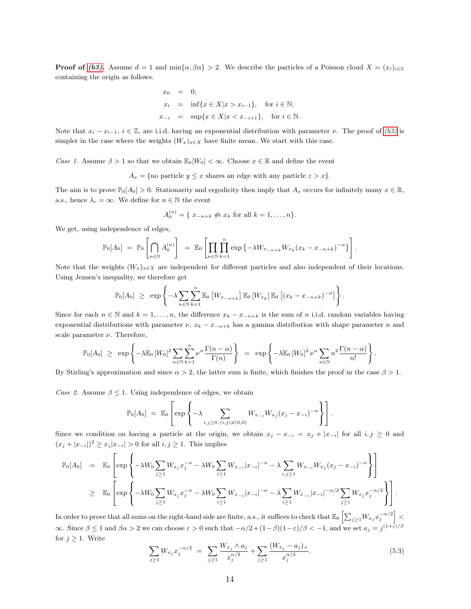**Proof of [\(b3\)](#page-6-2).** Assume  $d = 1$  and  $\min{\{\alpha, \beta\alpha\}} > 2$ . We describe the particles of a Poisson cloud  $X = (x_i)_{i \in \mathbb{Z}}$ containing the origin as follows.

$$
x_0 = 0;
$$
  
\n
$$
x_i = \inf\{x \in X | x > x_{i-1}\}, \text{ for } i \in \mathbb{N};
$$
  
\n
$$
x_{-i} = \sup\{x \in X | x < x_{-i+1}\}, \text{ for } i \in \mathbb{N}.
$$

Note that  $x_i - x_{i-1}$ ,  $i \in \mathbb{Z}$ , are i.i.d. having an exponential distribution with parameter  $\nu$ . The proof of  $(b3)$  is simpler in the case where the weights  $(W_x)_{x\in X}$  have finite mean. We start with this case.

Case 1. Assume  $\beta > 1$  so that we obtain  $\mathbb{E}_{0}[W_{0}] < \infty$ . Choose  $x \in \mathbb{R}$  and define the event

 $A_x = \{$ no particle  $y \leq x$  shares an edge with any particle  $z > x\}.$ 

The aim is to prove  $\mathbb{P}_0[A_0] > 0$ . Stationarity and ergodicity then imply that  $A_x$  occurs for infinitely many  $x \in \mathbb{R}$ , a.s., hence  $\lambda_c = \infty$ . We define for  $n \in \mathbb{N}$  the event

$$
A_0^{(n)} = \{ x_{-n+k} \not\Leftrightarrow x_k \text{ for all } k = 1, \ldots, n \}.
$$

We get, using independence of edges,

$$
\mathbb{P}_0[A_0] = \mathbb{P}_0 \left[ \bigcap_{n \in \mathbb{N}} A_0^{(n)} \right] = \mathbb{E}_0 \left[ \prod_{n \in \mathbb{N}} \prod_{k=1}^n \exp \left\{ -\lambda W_{x_{-n+k}} W_{x_k} (x_k - x_{-n+k})^{-\alpha} \right\} \right].
$$

Note that the weights  $(W_x)_{x\in X}$  are independent for different particles and also independent of their locations. Using Jensen's inequality, we therefore get

$$
\mathbb{P}_0[A_0] \geq \exp \left\{-\lambda \sum_{n \in \mathbb{N}} \sum_{k=1}^n \mathbb{E}_0 \left[W_{x_{-n+k}}\right] \mathbb{E}_0 \left[W_{x_k}\right] \mathbb{E}_0 \left[\left(x_k - x_{-n+k}\right)^{-\alpha}\right]\right\}.
$$

Since for each  $n \in \mathbb{N}$  and  $k = 1, \ldots, n$ , the difference  $x_k - x_{-n+k}$  is the sum of n i.i.d. random variables having exponential distributions with parameter  $\nu$ ,  $x_k - x_{-n+k}$  has a gamma distribution with shape parameter n and scale parameter  $\nu$ . Therefore,

$$
\mathbb{P}_0[A_0] \geq \exp\left\{-\lambda \mathbb{E}_0 \left[W_0\right]^2 \sum_{n \in \mathbb{N}} \sum_{k=1}^n \nu^{\alpha} \frac{\Gamma(n-\alpha)}{\Gamma(n)}\right\} = \exp\left\{-\lambda \mathbb{E}_0 \left[W_0\right]^2 \nu^{\alpha} \sum_{n \in \mathbb{N}} n^2 \frac{\Gamma(n-\alpha)}{n!}\right\}.
$$

By Stirling's approximation and since  $\alpha > 2$ , the latter sum is finite, which finishes the proof in the case  $\beta > 1$ .

Case 2. Assume  $\beta \leq 1$ . Using independence of edges, we obtain

$$
\mathbb{P}_0[A_0] = \mathbb{E}_0 \left[ \exp \left\{ -\lambda \sum_{i,j \geq 0, (i,j) \neq (0,0)} W_{x_{-i}} W_{x_j} (x_j - x_{-i})^{-\alpha} \right\} \right].
$$

Since we condition on having a particle at the origin, we obtain  $x_j - x_{-i} = x_j + |x_{-i}|$  for all  $i, j \ge 0$  and  $(x_j+|x_{-i}|)^2 \geq x_j|x_{-i}| > 0$  for all  $i, j \geq 1$ . This implies

$$
\mathbb{P}_{0}[A_{0}] = \mathbb{E}_{0} \left[ \exp \left\{ -\lambda W_{0} \sum_{j\geq 1} W_{x_{j}} x_{j}^{-\alpha} - \lambda W_{0} \sum_{i\geq 1} W_{x_{-i}} |x_{-i}|^{-\alpha} - \lambda \sum_{i,j\geq 1} W_{x_{-i}} W_{x_{j}} (x_{j} - x_{-i})^{-\alpha} \right\} \right]
$$
  
\n
$$
\geq \mathbb{E}_{0} \left[ \exp \left\{ -\lambda W_{0} \sum_{j\geq 1} W_{x_{j}} x_{j}^{-\alpha} - \lambda W_{0} \sum_{i\geq 1} W_{x_{-i}} |x_{-i}|^{-\alpha} - \lambda \sum_{i\geq 1} W_{x_{-i}} |x_{-i}|^{-\alpha/2} \sum_{j\geq 1} W_{x_{j}} x_{j}^{-\alpha/2} \right\} \right].
$$

In order to prove that all sums on the right-hand side are finite, a.s., it suffices to check that  $\mathbb{E}_0\left[\sum_{j\geq 1}W_{x_j}x_j^{-\alpha/2}\right]<$  $\infty$ . Since  $\beta \leq 1$  and  $\beta \alpha > 2$  we can choose  $\varepsilon > 0$  such that  $-\alpha/2 + (1-\beta)(1-\varepsilon)/\beta < -1$ , and we set  $a_j = j^{(1+\varepsilon)/\beta}$ for  $j \geq 1$ . Write

<span id="page-13-0"></span>
$$
\sum_{j\geq 1} W_{x_j} x_j^{-\alpha/2} = \sum_{j\geq 1} \frac{W_{x_j} \wedge a_j}{x_j^{\alpha/2}} + \sum_{j\geq 1} \frac{(W_{x_j} - a_j)_+}{x_j^{\alpha/2}}.
$$
\n(5.3)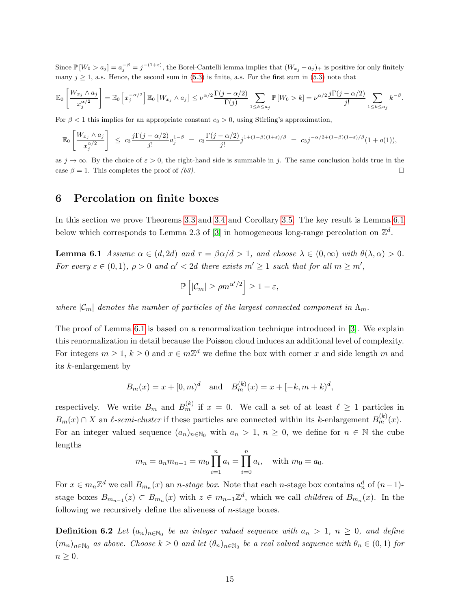Since  $\mathbb{P}[W_0 > a_j] = a_j^{-\beta} = j^{-(1+\varepsilon)}$ , the Borel-Cantelli lemma implies that  $(W_{x_j} - a_j)_+$  is positive for only finitely many  $j \ge 1$ , a.s. Hence, the second sum in [\(5.3\)](#page-13-0) is finite, a.s. For the first sum in (5.3) note that

$$
\mathbb{E}_0\left[\frac{W_{x_j}\wedge a_j}{x_j^{\alpha/2}}\right] = \mathbb{E}_0\left[x_j^{-\alpha/2}\right]\mathbb{E}_0\left[W_{x_j}\wedge a_j\right] \leq \nu^{\alpha/2}\frac{\Gamma(j-\alpha/2)}{\Gamma(j)} \sum_{1\leq k\leq a_j} \mathbb{P}\left[W_0>k\right] = \nu^{\alpha/2}\frac{j\Gamma(j-\alpha/2)}{j!} \sum_{1\leq k\leq a_j} k^{-\beta}.
$$

For  $\beta < 1$  this implies for an appropriate constant  $c_3 > 0$ , using Stirling's approximation,

$$
\mathbb{E}_0\left[\frac{W_{x_j}\wedge a_j}{x_j^{\alpha/2}}\right] \le c_3 \frac{j\Gamma(j-\alpha/2)}{j!}a_j^{1-\beta} = c_3 \frac{\Gamma(j-\alpha/2)}{j!}j^{1+(1-\beta)(1+\varepsilon)/\beta} = c_3 j^{-\alpha/2+(1-\beta)(1+\varepsilon)/\beta}(1+o(1)),
$$

as  $j \to \infty$ . By the choice of  $\varepsilon > 0$ , the right-hand side is summable in j. The same conclusion holds true in the case  $\beta = 1$ . This completes the proof of (b3).

# <span id="page-14-0"></span>6 Percolation on finite boxes

In this section we prove Theorems [3.3](#page-6-3) and [3.4](#page-6-4) and Corollary [3.5.](#page-7-0) The key result is Lemma [6.1](#page-14-1) below which corresponds to Lemma 2.3 of [\[3\]](#page-29-2) in homogeneous long-range percolation on  $\mathbb{Z}^d$ .

<span id="page-14-1"></span>**Lemma 6.1** Assume  $\alpha \in (d, 2d)$  and  $\tau = \beta \alpha/d > 1$ , and choose  $\lambda \in (0, \infty)$  with  $\theta(\lambda, \alpha) > 0$ . For every  $\varepsilon \in (0,1)$ ,  $\rho > 0$  and  $\alpha' < 2d$  there exists  $m' \geq 1$  such that for all  $m \geq m'$ ,

$$
\mathbb{P}\left[|\mathcal{C}_m| \ge \rho m^{\alpha'/2}\right] \ge 1-\varepsilon,
$$

where  $|\mathcal{C}_m|$  denotes the number of particles of the largest connected component in  $\Lambda_m$ .

The proof of Lemma [6.1](#page-14-1) is based on a renormalization technique introduced in [\[3\]](#page-29-2). We explain this renormalization in detail because the Poisson cloud induces an additional level of complexity. For integers  $m \geq 1, k \geq 0$  and  $x \in m\mathbb{Z}^d$  we define the box with corner x and side length m and its k-enlargement by

$$
B_m(x) = x + [0, m)^d
$$
 and  $B_m^{(k)}(x) = x + [-k, m+k]^d$ ,

respectively. We write  $B_m$  and  $B_m^{(k)}$  if  $x = 0$ . We call a set of at least  $\ell \ge 1$  particles in  $B_m(x) \cap X$  an  $\ell$ -semi-cluster if these particles are connected within its k-enlargement  $B_m^{(k)}(x)$ . For an integer valued sequence  $(a_n)_{n\in\mathbb{N}_0}$  with  $a_n > 1, n \geq 0$ , we define for  $n \in \mathbb{N}$  the cube lengths

$$
m_n = a_n m_{n-1} = m_0 \prod_{i=1}^n a_i = \prod_{i=0}^n a_i
$$
, with  $m_0 = a_0$ .

For  $x \in m_n \mathbb{Z}^d$  we call  $B_{m_n}(x)$  an *n*-stage box. Note that each *n*-stage box contains  $a_n^d$  of  $(n-1)$ stage boxes  $B_{m_{n-1}}(z) \subset B_{m_n}(x)$  with  $z \in m_{n-1}\mathbb{Z}^d$ , which we call *children* of  $B_{m_n}(x)$ . In the following we recursively define the aliveness of  $n$ -stage boxes.

**Definition 6.2** Let  $(a_n)_{n \in \mathbb{N}_0}$  be an integer valued sequence with  $a_n > 1$ ,  $n \geq 0$ , and define  $(m_n)_{n\in\mathbb{N}_0}$  as above. Choose  $k\geq 0$  and let  $(\theta_n)_{n\in\mathbb{N}_0}$  be a real valued sequence with  $\theta_n\in(0,1)$  for  $n \geq 0$ .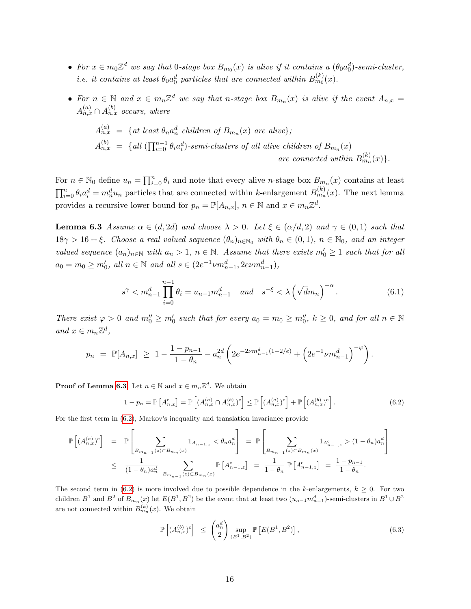- For  $x \in m_0 \mathbb{Z}^d$  we say that 0-stage box  $B_{m_0}(x)$  is alive if it contains a  $(\theta_0 a_0^d)$ -semi-cluster, *i.e.* it contains at least  $\theta_0 a_0^d$  particles that are connected within  $B_{m_0}^{(k)}(x)$ .
- For  $n \in \mathbb{N}$  and  $x \in m_n \mathbb{Z}^d$  we say that n-stage box  $B_{m_n}(x)$  is alive if the event  $A_{n,x} =$  $A_{n,x}^{(a)} \cap A_{n,x}^{(b)}$  occurs, where

$$
A_{n,x}^{(a)} = \{ \text{at least } \theta_n a_n^d \text{ children of } B_{m_n}(x) \text{ are alive} \};
$$
  
\n
$$
A_{n,x}^{(b)} = \{ \text{all } (\prod_{i=0}^{n-1} \theta_i a_i^d) \text{-semi-clusters of all alive children of } B_{m_n}(x) \}
$$
  
\nare connected within  $B_{m_n}^{(k)}(x) \}.$ 

For  $n \in \mathbb{N}_0$  define  $u_n = \prod_{i=0}^n \theta_i$  and note that every alive *n*-stage box  $B_{m_n}(x)$  contains at least  $\prod_{i=0}^n \theta_i a_i^d = m_n^d u_n$  particles that are connected within k-enlargement  $B_{m_n}^{(k)}(x)$ . The next lemma provides a recursive lower bound for  $p_n = \mathbb{P}[A_{n,x}], n \in \mathbb{N}$  and  $x \in m_n \mathbb{Z}^d$ .

<span id="page-15-0"></span>**Lemma 6.3** Assume  $\alpha \in (d, 2d)$  and choose  $\lambda > 0$ . Let  $\xi \in (\alpha/d, 2)$  and  $\gamma \in (0, 1)$  such that  $18\gamma > 16 + \xi$ . Choose a real valued sequence  $(\theta_n)_{n \in \mathbb{N}_0}$  with  $\theta_n \in (0,1)$ ,  $n \in \mathbb{N}_0$ , and an integer valued sequence  $(a_n)_{n\in\mathbb{N}}$  with  $a_n > 1$ ,  $n \in \mathbb{N}$ . Assume that there exists  $m'_0 \geq 1$  such that for all  $a_0 = m_0 \ge m'_0$ , all  $n \in \mathbb{N}$  and all  $s \in (2e^{-1} \nu m_{n-1}^d, 2e\nu m_{n-1}^d)$ ,

<span id="page-15-2"></span>
$$
s^{\gamma} < m_{n-1}^d \prod_{i=0}^{n-1} \theta_i = u_{n-1} m_{n-1}^d \quad \text{and} \quad s^{-\xi} < \lambda \left( \sqrt{d} m_n \right)^{-\alpha} . \tag{6.1}
$$

There exist  $\varphi > 0$  and  $m_0'' \ge m_0'$  such that for every  $a_0 = m_0 \ge m_0''$ ,  $k \ge 0$ , and for all  $n \in \mathbb{N}$ and  $x \in m_n \mathbb{Z}^d$ ,

$$
p_n = \mathbb{P}[A_{n,x}] \ge 1 - \frac{1 - p_{n-1}}{1 - \theta_n} - a_n^{2d} \left( 2e^{-2\nu m_{n-1}^d (1 - 2/e)} + \left( 2e^{-1} \nu m_{n-1}^d \right)^{-\varphi} \right).
$$

**Proof of Lemma [6.3.](#page-15-0)** Let  $n \in \mathbb{N}$  and  $x \in m_n \mathbb{Z}^d$ . We obtain

<span id="page-15-1"></span>
$$
1 - p_n = \mathbb{P}\left[A_{n,x}^c\right] = \mathbb{P}\left[\left(A_{n,x}^{(a)} \cap A_{n,x}^{(b)}\right)^c\right] \le \mathbb{P}\left[\left(A_{n,x}^{(a)}\right)^c\right] + \mathbb{P}\left[\left(A_{n,x}^{(b)}\right)^c\right].\tag{6.2}
$$

For the first term in [\(6.2\)](#page-15-1), Markov's inequality and translation invariance provide

$$
\mathbb{P}\left[(A_{n,x}^{(a)})^c\right] = \mathbb{P}\left[\sum_{B_{m_{n-1}}(z)\subset B_{m_n}(x)} 1_{A_{n-1,z}} < \theta_n a_n^d\right] = \mathbb{P}\left[\sum_{B_{m_{n-1}}(z)\subset B_{m_n}(x)} 1_{A_{n-1,z}^c} > (1-\theta_n) a_n^d\right]
$$
  

$$
\leq \frac{1}{(1-\theta_n)a_n^d} \sum_{B_{m_{n-1}}(z)\subset B_{m_n}(x)} \mathbb{P}\left[A_{n-1,z}^c\right] = \frac{1}{1-\theta_n} \mathbb{P}\left[A_{n-1,z}^c\right] = \frac{1-p_{n-1}}{1-\theta_n}.
$$

The second term in [\(6.2\)](#page-15-1) is more involved due to possible dependence in the k-enlargements,  $k > 0$ . For two children  $B^1$  and  $B^2$  of  $B_{m_n}(x)$  let  $E(B^1, B^2)$  be the event that at least two  $(u_{n-1}m_{n-1}^d)$ -semi-clusters in  $B^1 \cup B^2$ are not connected within  $B_{m_n}^{(k)}(x)$ . We obtain

<span id="page-15-3"></span>
$$
\mathbb{P}\left[\left(A_{n,x}^{(b)}\right)^c\right] \leq \binom{a_n^d}{2} \sup_{\left(B^1,B^2\right)} \mathbb{P}\left[E\left(B^1,B^2\right)\right],\tag{6.3}
$$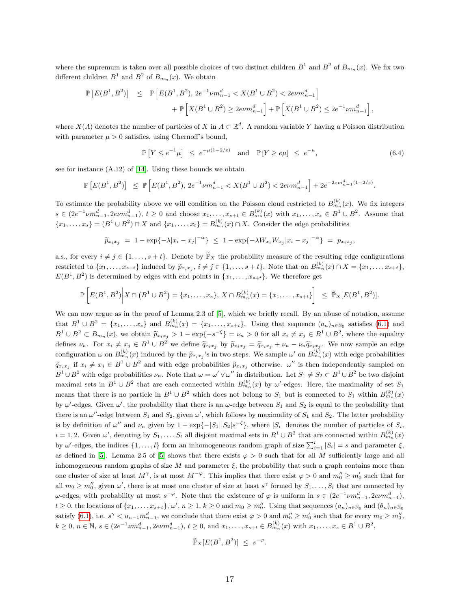where the supremum is taken over all possible choices of two distinct children  $B^1$  and  $B^2$  of  $B_{m_n}(x)$ . We fix two different children  $B^1$  and  $B^2$  of  $B_{m_n}(x)$ . We obtain

$$
\begin{array}{lcl} \mathbb{P}\left[E(B^1,B^2)\right] & \leq & \mathbb{P}\left[E(B^1,B^2),\,2e^{-1}\nu m_{n-1}^d < X(B^1\cup B^2) < 2e\nu m_{n-1}^d\right] \\[10pt] & + & \mathbb{P}\left[X(B^1\cup B^2) \geq 2e\nu m_{n-1}^d\right] + \mathbb{P}\left[X(B^1\cup B^2) \leq 2e^{-1}\nu m_{n-1}^d\right], \end{array}
$$

where  $X(A)$  denotes the number of particles of X in  $A \subset \mathbb{R}^d$ . A random variable Y having a Poisson distribution with parameter  $\mu > 0$  satisfies, using Chernoff's bound,

<span id="page-16-0"></span>
$$
\mathbb{P}\left[Y \le e^{-1}\mu\right] \le e^{-\mu(1-2/e)} \quad \text{and} \quad \mathbb{P}\left[Y \ge e\mu\right] \le e^{-\mu},\tag{6.4}
$$

see for instance (A.12) of [\[14\]](#page-30-18). Using these bounds we obtain

$$
\mathbb{P}\left[E(B^1,B^2)\right] \leq \mathbb{P}\left[E(B^1,B^2), 2e^{-1}\nu m_{n-1}^d < X(B^1 \cup B^2) < 2e\nu m_{n-1}^d\right] + 2e^{-2\nu m_{n-1}^d(1-2/e)}.
$$

To estimate the probability above we will condition on the Poisson cloud restricted to  $B_{m_n}^{(k)}(x)$ . We fix integers  $s \in (2e^{-1} \nu m_{n-1}^d, 2evm_{n-1}^d), t \geq 0$  and choose  $x_1, \ldots, x_{s+t} \in B_{m_n}^{(k)}(x)$  with  $x_1, \ldots, x_s \in B^1 \cup B^2$ . Assume that  ${x_1, \ldots, x_s} = (B^1 \cup B^2) \cap X$  and  ${x_1, \ldots, x_t} = B_{m_n}^{(k)}(x) \cap X$ . Consider the edge probabilities

$$
\widetilde{p}_{x_ix_j} = 1 - \exp\{-\lambda |x_i - x_j|^{-\alpha}\} \le 1 - \exp\{-\lambda W_{x_i} W_{x_j} |x_i - x_j|^{-\alpha}\} = p_{x_ix_j},
$$

a.s., for every  $i \neq j \in \{1, ..., s + t\}$ . Denote by  $\widetilde{\mathbb{P}}_X$  the probability measure of the resulting edge configurations restricted to  $\{x_1, \ldots, x_{s+t}\}\$  induced by  $\tilde{p}_{x_ix_j}$ ,  $i \neq j \in \{1, \ldots, s+t\}$ . Note that on  $B_{mn}^{(k)}(x) \cap X = \{x_1, \ldots, x_{s+t}\}\$  $E(B^1, B^2)$  is determined by edges with end points in  $\{x_1, \ldots, x_{s+t}\}.$  We therefore get

$$
\mathbb{P}\left[E(B^1,B^2)\middle|X\cap (B^1\cup B^2)=\{x_1,\ldots,x_s\},\ X\cap B_{m_n}^{(k)}(x)=\{x_1,\ldots,x_{s+t}\}\right] \leq \widetilde{\mathbb{P}}_X[E(B^1,B^2)].
$$

We can now argue as in the proof of Lemma 2.3 of [\[5\]](#page-29-5), which we briefly recall. By an abuse of notation, assume that  $B^1 \cup B^2 = \{x_1, \ldots, x_s\}$  and  $B_{m_n}^{(k)}(x) = \{x_1, \ldots, x_{s+t}\}.$  Using that sequence  $(a_n)_{n \in \mathbb{N}_0}$  satisfies [\(6.1\)](#page-15-2) and  $B^1 \cup B^2 \subset B_{m_n}(x)$ , we obtain  $\widetilde{p}_{x_ix_j} > 1 - \exp\{-s^{-\xi}\} = \nu_n > 0$  for all  $x_i \neq x_j \in B^1 \cup B^2$ , where the equality defines  $\nu_n$ . For  $x_i \neq x_j \in B^1 \cup B^2$  we define  $\widetilde{q}_{x_ix_j}$  by  $\widetilde{p}_{x_ix_j} = \widetilde{q}_{x_ix_j} + \nu_n - \nu_n \widetilde{q}_{x_ix_j}$ . We now sample an edge configuration  $\omega$  on  $B_{m_n}^{(k)}(x)$  induced by the  $\tilde{p}_{x_ix_j}$ 's in two steps. We sample  $\omega'$  on  $B_{m_n}^{(k)}(x)$  with edge probabilities  $\widetilde{q}_{x_ix_j}$  if  $x_i \neq x_j \in B^1 \cup B^2$  and with edge probabilities  $\widetilde{p}_{x_ix_j}$  otherwise.  $\omega''$  is then independently sampled on  $B^1 \cup B^2$  with edge probabilities  $\nu_n$ . Note that  $\omega = \omega' \vee \omega''$  in distribution. Let  $S_1 \neq S_2 \subset B^1 \cup B^2$  be two disjoint maximal sets in  $B^1 \cup B^2$  that are each connected within  $B_{m_n}^{(k)}(x)$  by  $\omega'$ -edges. Here, the maximality of set  $S_1$ means that there is no particle in  $B^1 \cup B^2$  which does not belong to  $S_1$  but is connected to  $S_1$  within  $B_{m_n}^{(k)}(x)$ by  $\omega'$ -edges. Given  $\omega'$ , the probability that there is an  $\omega$ -edge between  $S_1$  and  $S_2$  is equal to the probability that there is an  $\omega''$ -edge between  $S_1$  and  $S_2$ , given  $\omega'$ , which follows by maximality of  $S_1$  and  $S_2$ . The latter probability is by definition of  $\omega''$  and  $\nu_n$  given by  $1 - \exp\{-|S_1||S_2|s^{-\xi}\}\$ , where  $|S_i|$  denotes the number of particles of  $S_i$ ,  $i = 1, 2$ . Given  $\omega'$ , denoting by  $S_1, \ldots, S_l$  all disjoint maximal sets in  $B^1 \cup B^2$  that are connected within  $B_{m_n}^{(k)}(x)$ by  $\omega'$ -edges, the indices  $\{1,\ldots,l\}$  form an inhomogeneous random graph of size  $\sum_{i=1}^{l} |S_i| = s$  and parameter  $\xi$ , as defined in [\[5\]](#page-29-5). Lemma 2.5 of [5] shows that there exists  $\varphi > 0$  such that for all M sufficiently large and all inhomogeneous random graphs of size M and parameter  $\xi$ , the probability that such a graph contains more than one cluster of size at least  $M^{\gamma}$ , is at most  $M^{-\varphi}$ . This implies that there exist  $\varphi > 0$  and  $m_0'' \ge m_0'$  such that for all  $m_0 \geq m_0''$ , given  $\omega'$ , there is at most one cluster of size at least  $s^{\gamma}$  formed by  $S_1, \ldots, S_l$  that are connected by  $ω$ -edges, with probability at most  $s<sup>−φ</sup>$ . Note that the existence of  $φ$  is uniform in  $s ∈ (2e<sup>−1</sup>νm<sub>n−1</sub><sup>d</sup>, 2ενm<sub>n−1</sub><sup>d</sup>),$  $t \geq 0$ , the locations of  $\{x_1, \ldots, x_{s+t}\}, \omega', n \geq 1, k \geq 0$  and  $m_0 \geq m''_0$ . Using that sequences  $(a_n)_{n \in \mathbb{N}_0}$  and  $(\theta_n)_{n \in \mathbb{N}_0}$ satisfy [\(6.1\)](#page-15-2), i.e.  $s^{\gamma} < u_{n-1} m_{n-1}^d$ , we conclude that there exist  $\varphi > 0$  and  $m_0'' \ge m_0'$  such that for every  $m_0 \ge m_0''$ ,  $k \geq 0, n \in \mathbb{N}, s \in (2e^{-1} \nu m_{n-1}^d, 2e\nu m_{n-1}^d), t \geq 0, \text{ and } x_1, \ldots, x_{s+t} \in B_{m_n}^{(k)}(x) \text{ with } x_1, \ldots, x_s \in B^1 \cup B^2,$ 

$$
\widetilde{\mathbb{P}}_X[E(B^1, B^2)] \leq s^{-\varphi}.
$$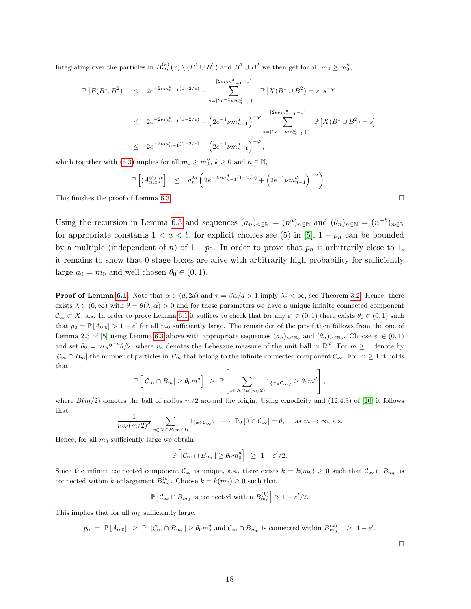Integrating over the particles in  $B_{m_n}^{(k)}(x) \setminus (B^1 \cup B^2)$  and  $B^1 \cup B^2$  we then get for all  $m_0 \ge m_0''$ ,

$$
\mathbb{P}\left[E(B^1,B^2)\right] \leq 2e^{-2\nu m_{n-1}^d(1-2/e)} + \sum_{s=\lfloor 2e^{-1}\nu m_{n-1}^d+1 \rfloor}^{\lceil 2e\nu m_{n-1}^d-1 \rceil} \mathbb{P}\left[X(B^1 \cup B^2) = s\right]s^{-\varphi}
$$
  

$$
\leq 2e^{-2\nu m_{n-1}^d(1-2/e)} + \left(2e^{-1}\nu m_{n-1}^d\right)^{-\varphi} \sum_{s=\lfloor 2e^{-1}\nu m_{n-1}^d+1 \rfloor}^{\lceil 2e\nu m_{n-1}^d-1 \rceil} \mathbb{P}\left[X(B^1 \cup B^2) = s\right]
$$
  

$$
\leq 2e^{-2\nu m_{n-1}^d(1-2/e)} + \left(2e^{-1}\nu m_{n-1}^d\right)^{-\varphi},
$$

which together with [\(6.3\)](#page-15-3) implies for all  $m_0 \ge m_0''$ ,  $k \ge 0$  and  $n \in \mathbb{N}$ ,

$$
\mathbb{P}\left[ (A_{n,x}^{(b)})^c \right] \leq a_n^{2d} \left( 2e^{-2\nu m_{n-1}^d (1-2/e)} + \left( 2e^{-1} \nu m_{n-1}^d \right)^{-\varphi} \right)
$$

This finishes the proof of Lemma [6.3.](#page-15-0)  $\Box$ 

Using the recursion in Lemma [6.3](#page-15-0) and sequences  $(a_n)_{n\in\mathbb{N}} = (n^a)_{n\in\mathbb{N}}$  and  $(\theta_n)_{n\in\mathbb{N}} = (n^{-b})_{n\in\mathbb{N}}$ for appropriate constants  $1 < a < b$ , for explicit choices see (5) in [\[5\]](#page-29-5),  $1 - p_n$  can be bounded by a multiple (independent of n) of  $1 - p_0$ . In order to prove that  $p_n$  is arbitrarily close to 1, it remains to show that 0-stage boxes are alive with arbitrarily high probability for sufficiently large  $a_0 = m_0$  and well chosen  $\theta_0 \in (0, 1)$ .

**Proof of Lemma [6.1.](#page-14-1)** Note that  $\alpha \in (d, 2d)$  and  $\tau = \beta \alpha/d > 1$  imply  $\lambda_c < \infty$ , see Theorem [3.2.](#page-5-1) Hence, there exists  $\lambda \in (0,\infty)$  with  $\theta = \theta(\lambda,\alpha) > 0$  and for these parameters we have a unique infinite connected component  $\mathcal{C}_{\infty} \subset X$ , a.s. In order to prove Lemma [6.1](#page-14-1) it suffices to check that for any  $\varepsilon' \in (0,1)$  there exists  $\theta_0 \in (0,1)$  such that  $p_0 = \mathbb{P}[A_{0,0}] > 1 - \varepsilon'$  for all  $m_0$  sufficiently large. The remainder of the proof then follows from the one of Lemma 2.3 of [\[5\]](#page-29-5) using Lemma [6.3](#page-15-0) above with appropriate sequences  $(a_n)_{n\in\mathbb{N}_0}$  and  $(\theta_n)_{n\in\mathbb{N}_0}$ . Choose  $\varepsilon' \in (0,1)$ and set  $\theta_0 = \nu v_d 2^{-d} \theta/2$ , where  $v_d$  denotes the Lebesgue measure of the unit ball in  $\mathbb{R}^d$ . For  $m \ge 1$  denote by  $|\mathcal{C}_{\infty} \cap B_m|$  the number of particles in  $B_m$  that belong to the infinite connected component  $\mathcal{C}_{\infty}$ . For  $m \geq 1$  it holds that

$$
\mathbb{P}\left[|\mathcal{C}_{\infty} \cap B_{m}| \geq \theta_0 m^d\right] \geq \mathbb{P}\left[\sum_{x \in X \cap B(m/2)} 1_{\{x \in \mathcal{C}_{\infty}\}} \geq \theta_0 m^d\right],
$$

where  $B(m/2)$  denotes the ball of radius  $m/2$  around the origin. Using ergodicity and (12.4.3) of [\[10\]](#page-30-11) it follows that

$$
\frac{1}{\nu v_d(m/2)^d} \sum_{x \in X \cap B(m/2)} 1_{\{x \in C_{\infty}\}} \longrightarrow \mathbb{P}_0\left[0 \in C_{\infty}\right] = \theta, \quad \text{as } m \to \infty, \text{ a.s.}
$$

Hence, for all  $m_0$  sufficiently large we obtain

$$
\mathbb{P}\left[|\mathcal{C}_{\infty} \cap B_{m_0}| \geq \theta_0 m_0^d\right] \geq 1 - \varepsilon'/2.
$$

Since the infinite connected component  $\mathcal{C}_{\infty}$  is unique, a.s., there exists  $k = k(m_0) \geq 0$  such that  $\mathcal{C}_{\infty} \cap B_{m_0}$  is connected within k-enlargement  $B_{m_0}^{(k)}$ . Choose  $k = k(m_0) \geq 0$  such that

$$
\mathbb{P}\left[\mathcal{C}_{\infty} \cap B_{m_0} \text{ is connected within } B_{m_0}^{(k)}\right] > 1 - \varepsilon'/2.
$$

This implies that for all  $m_0$  sufficiently large,

$$
p_0 = \mathbb{P}[A_{0,0}] \ge \mathbb{P}\left[|\mathcal{C}_{\infty} \cap B_{m_0}| \ge \theta_0 m_0^d \text{ and } \mathcal{C}_{\infty} \cap B_{m_0} \text{ is connected within } B_{m_0}^{(k)}\right] \ge 1 - \varepsilon'.
$$

 $\Box$ 

.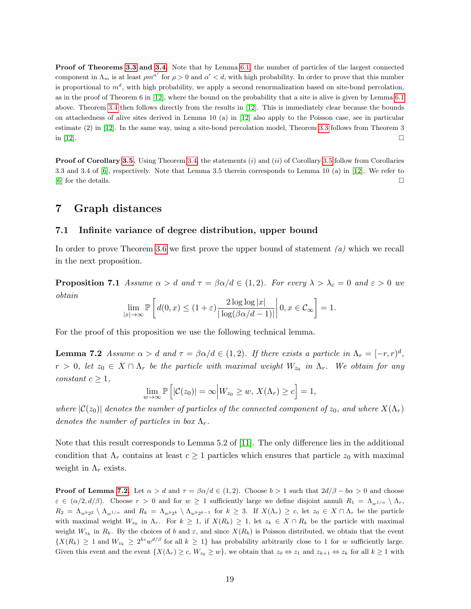Proof of Theorems [3.3](#page-6-3) and [3.4.](#page-6-4) Note that by Lemma [6.1,](#page-14-1) the number of particles of the largest connected component in  $\Lambda_m$  is at least  $\rho m^{\alpha'}$  for  $\rho > 0$  and  $\alpha' < d$ , with high probability. In order to prove that this number is proportional to  $m^d$ , with high probability, we apply a second renormalization based on site-bond percolation, as in the proof of Theorem 6 in [\[12\]](#page-30-9), where the bound on the probability that a site is alive is given by Lemma [6.1](#page-14-1) above. Theorem [3.4](#page-6-4) then follows directly from the results in [\[12\]](#page-30-9). This is immediately clear because the bounds on attachedness of alive sites derived in Lemma 10 (a) in [\[12\]](#page-30-9) also apply to the Poisson case, see in particular estimate (2) in [\[12\]](#page-30-9). In the same way, using a site-bond percolation model, Theorem [3.3](#page-6-3) follows from Theorem 3 in [\[12\]](#page-30-9).

Proof of Corollary [3.5.](#page-7-0) Using Theorem [3.4,](#page-6-4) the statements (i) and (ii) of Corollary [3.5](#page-7-0) follow from Corollaries 3.3 and 3.4 of [\[6\]](#page-29-1), respectively. Note that Lemma 3.5 therein corresponds to Lemma 10 (a) in [\[12\]](#page-30-9). We refer to  $\Box$  [\[6\]](#page-29-1) for the details.

# <span id="page-18-0"></span>7 Graph distances

### 7.1 Infinite variance of degree distribution, upper bound

In order to prove Theorem [3.6](#page-7-1) we first prove the upper bound of statement  $(a)$  which we recall in the next proposition.

<span id="page-18-2"></span>**Proposition 7.1** Assume  $\alpha > d$  and  $\tau = \beta \alpha/d \in (1, 2)$ . For every  $\lambda > \lambda_c = 0$  and  $\varepsilon > 0$  we obtain

$$
\lim_{|x| \to \infty} \mathbb{P}\left[ d(0, x) \le (1+\varepsilon) \frac{2\log \log |x|}{|\log (\beta \alpha/d - 1)|} \middle| 0, x \in \mathcal{C}_{\infty} \right] = 1.
$$

<span id="page-18-1"></span>For the proof of this proposition we use the following technical lemma.

**Lemma 7.2** Assume  $\alpha > d$  and  $\tau = \beta \alpha/d \in (1, 2)$ . If there exists a particle in  $\Lambda_r = [-r, r]^d$ ,  $r > 0$ , let  $z_0 \in X \cap \Lambda_r$  be the particle with maximal weight  $W_{z_0}$  in  $\Lambda_r$ . We obtain for any constant  $c \geq 1$ ,

$$
\lim_{w \to \infty} \mathbb{P}\left[|\mathcal{C}(z_0)| = \infty \Big| W_{z_0} \ge w, \, X(\Lambda_r) \ge c\right] = 1,
$$

where  $|C(z_0)|$  denotes the number of particles of the connected component of  $z_0$ , and where  $X(\Lambda_r)$ denotes the number of particles in box  $\Lambda_r$ .

Note that this result corresponds to Lemma 5.2 of [\[11\]](#page-30-5). The only difference lies in the additional condition that  $\Lambda_r$  contains at least  $c \geq 1$  particles which ensures that particle  $z_0$  with maximal weight in  $\Lambda_r$  exists.

**Proof of Lemma [7.2.](#page-18-1)** Let  $\alpha > d$  and  $\tau = \beta \alpha/d \in (1, 2)$ . Choose  $b > 1$  such that  $2d/\beta - b\alpha > 0$  and choose  $\varepsilon \in (\alpha/2, d/\beta)$ . Choose  $r > 0$  and for  $w \ge 1$  sufficiently large we define disjoint annuli  $R_1 = \Lambda_{w^{1/\alpha}} \setminus \Lambda_r$ ,  $R_2 = \Lambda_{w^2 2^2} \setminus \Lambda_{w^1}$  and  $R_k = \Lambda_{w^2 2^k} \setminus \Lambda_{w^2 2^{k-1}}$  for  $k \geq 3$ . If  $X(\Lambda_r) \geq c$ , let  $z_0 \in X \cap \Lambda_r$  be the particle with maximal weight  $W_{z_0}$  in  $\Lambda_r$ . For  $k \geq 1$ , if  $X(R_k) \geq 1$ , let  $z_k \in X \cap R_k$  be the particle with maximal weight  $W_{z_k}$  in  $R_k$ . By the choices of b and  $\varepsilon$ , and since  $X(R_k)$  is Poisson distributed, we obtain that the event  $\{X(R_k) \geq 1 \text{ and } W_{z_k} \geq 2^{k\varepsilon} w^{d/\beta} \text{ for all } k \geq 1\}$  has probability arbitrarily close to 1 for w sufficiently large. Given this event and the event  $\{X(\Lambda_r) \geq c, W_{z_0} \geq w\}$ , we obtain that  $z_0 \Leftrightarrow z_1$  and  $z_{k+1} \Leftrightarrow z_k$  for all  $k \geq 1$  with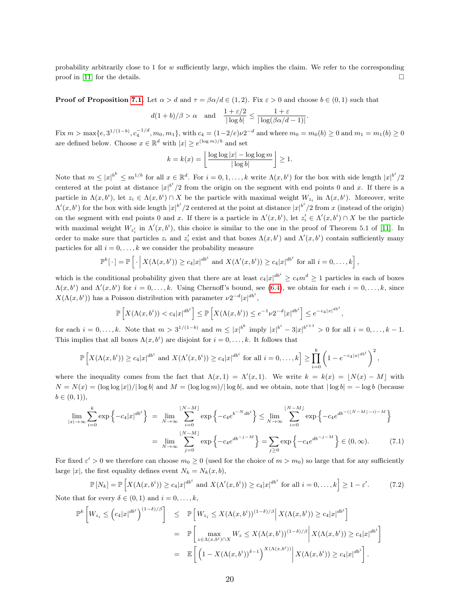probability arbitrarily close to 1 for  $w$  sufficiently large, which implies the claim. We refer to the corresponding proof in [\[11\]](#page-30-5) for the details.

**Proof of Proposition [7.1.](#page-18-2)** Let  $\alpha > d$  and  $\tau = \beta \alpha / d \in (1, 2)$ . Fix  $\varepsilon > 0$  and choose  $b \in (0, 1)$  such that

$$
d(1+b)/\beta > \alpha
$$
 and  $\frac{1+\varepsilon/2}{|\log b|} \le \frac{1+\varepsilon}{|\log(\beta\alpha/d-1)|}.$ 

 $\text{Fix } m > \max\{e, 3^{1/(1-b)}, c_4^{-1/d}, m_0, m_1\}, \text{ with } c_4 = (1-2/e)\nu 2^{-d} \text{ and where } m_0 = m_0(b) \geq 0 \text{ and } m_1 = m_1(b) \geq 0$ are defined below. Choose  $x \in \mathbb{R}^d$  with  $|x| \geq e^{(\log m)/b}$  and set

$$
k = k(x) = \left\lfloor \frac{\log \log |x| - \log \log m}{|\log b|} \right\rfloor \ge 1.
$$

Note that  $m \leq |x|^{b^k} \leq m^{1/b}$  for all  $x \in \mathbb{R}^d$ . For  $i = 0, 1, ..., k$  write  $\Lambda(x, b^i)$  for the box with side length  $|x|^{b^i}/2$ centered at the point at distance  $|x|^{b^i}/2$  from the origin on the segment with end points 0 and x. If there is a particle in  $\Lambda(x, b^i)$ , let  $z_i \in \Lambda(x, b^i) \cap X$  be the particle with maximal weight  $W_{z_i}$  in  $\Lambda(x, b^i)$ . Moreover, write  $\Lambda'(x, b^i)$  for the box with side length  $|x|^{b^i}/2$  centered at the point at distance  $|x|^{b^i}/2$  from x (instead of the origin) on the segment with end points 0 and x. If there is a particle in  $\Lambda'(x, b^i)$ , let  $z'_i \in \Lambda'(x, b^i) \cap X$  be the particle with maximal weight  $W_{z_i'}$  in  $\Lambda'(x, b^i)$ , this choice is similar to the one in the proof of Theorem 5.1 of [\[11\]](#page-30-5). In order to make sure that particles  $z_i$  and  $z'_i$  exist and that boxes  $\Lambda(x, b^i)$  and  $\Lambda'(x, b^i)$  contain sufficiently many particles for all  $i = 0, \ldots, k$  we consider the probability measure

$$
\mathbb{P}^k[\cdot] = \mathbb{P}\left[\cdot \left| X(\Lambda(x,b^i)) \geq c_4 |x|^{db^i} \text{ and } X(\Lambda'(x,b^i)) \geq c_4 |x|^{db^i} \text{ for all } i=0,\ldots,k\right],
$$

which is the conditional probability given that there are at least  $c_4|x|^{db^i} \geq c_4 m^d \geq 1$  particles in each of boxes  $\Lambda(x, b^i)$  and  $\Lambda'(x, b^i)$  for  $i = 0, \ldots, k$ . Using Chernoff's bound, see [\(6.4\)](#page-16-0), we obtain for each  $i = 0, \ldots, k$ , since  $X(\Lambda(x, b^i))$  has a Poisson distribution with parameter  $\nu 2^{-d} |x|^{db^i}$ ,

$$
\mathbb{P}\left[X(\Lambda(x,b^i)) < c_4|x|^{\boldsymbol{a}\boldsymbol{b}^i}\right] \le \mathbb{P}\left[X(\Lambda(x,b^i)) \le e^{-1}\nu 2^{-d}|x|^{\boldsymbol{a}\boldsymbol{b}^i}\right] \le e^{-c_4|x|^{\boldsymbol{a}\boldsymbol{b}^i}},
$$

for each  $i = 0, \ldots, k$ . Note that  $m > 3^{1/(1-b)}$  and  $m \le |x|^{b^k}$  imply  $|x|^{b^i} - 3|x|^{b^{i+1}} > 0$  for all  $i = 0, \ldots, k-1$ . This implies that all boxes  $\Lambda(x, b^i)$  are disjoint for  $i = 0, \ldots, k$ . It follows that

$$
\mathbb{P}\left[X(\Lambda(x,b^{i})) \geq c_{4}|x|^{db^{i}} \text{ and } X(\Lambda'(x,b^{i})) \geq c_{4}|x|^{db^{i}} \text{ for all } i=0,\ldots,k\right] \geq \prod_{i=0}^{k} \left(1 - e^{-c_{4}|x|^{db^{i}}}\right)^{2},
$$

where the inequality comes from the fact that  $\Lambda(x,1) = \Lambda'(x,1)$ . We write  $k = k(x) = |N(x) - M|$  with  $N = N(x) = (\log \log |x|)/|\log b|$  and  $M = (\log \log m)/|\log b|$ , and we obtain, note that  $|\log b| = -\log b$  (because  $b \in (0, 1)$ ,

<span id="page-19-0"></span>
$$
\lim_{|x| \to \infty} \sum_{i=0}^{k} \exp \left\{-c_4 |x|^{db^i}\right\} = \lim_{N \to \infty} \sum_{i=0}^{\lfloor N-M \rfloor} \exp \left\{-c_4 e^{b^{-N} db^i}\right\} \le \lim_{N \to \infty} \sum_{i=0}^{\lfloor N-M \rfloor} \exp \left\{-c_4 e^{db^{-(\lfloor N-M \rfloor - i) - M}}\right\}
$$
\n
$$
= \lim_{N \to \infty} \sum_{j=0}^{\lfloor N-M \rfloor} \exp \left\{-c_4 e^{db^{-j-M}}\right\} = \sum_{j \ge 0} \exp \left\{-c_4 e^{db^{-j-M}}\right\} \in (0, \infty).
$$
\n(7.1)

For fixed  $\varepsilon' > 0$  we therefore can choose  $m_0 \geq 0$  (used for the choice of  $m > m_0$ ) so large that for any sufficiently large |x|, the first equality defines event  $N_k = N_k(x, b)$ ,

<span id="page-19-1"></span>
$$
\mathbb{P}\left[N_k\right] = \mathbb{P}\left[X(\Lambda(x, b^i)) \ge c_4 |x|^{db^i} \text{ and } X(\Lambda'(x, b^i)) \ge c_4 |x|^{db^i} \text{ for all } i = 0, \dots, k\right] \ge 1 - \varepsilon'.\tag{7.2}
$$

Note that for every  $\delta \in (0,1)$  and  $i = 0, \ldots, k$ ,

$$
\mathbb{P}^{k}\left[W_{z_{i}} \leq \left(c_{4}|x|^{db^{i}}\right)^{(1-\delta)/\beta}\right] \leq \mathbb{P}\left[W_{z_{i}} \leq X(\Lambda(x,b^{i}))^{(1-\delta)/\beta}\middle| X(\Lambda(x,b^{i})) \geq c_{4}|x|^{db^{i}}\right]
$$

$$
= \mathbb{P}\left[\max_{z \in \Lambda(x,b^{i}) \cap X} W_{z} \leq X(\Lambda(x,b^{i}))^{(1-\delta)/\beta}\middle| X(\Lambda(x,b^{i})) \geq c_{4}|x|^{db^{i}}\right]
$$

$$
= \mathbb{E}\left[\left(1 - X(\Lambda(x,b^{i}))^{\delta-1}\right)^{X(\Lambda(x,b^{i}))}\middle| X(\Lambda(x,b^{i})) \geq c_{4}|x|^{db^{i}}\right].
$$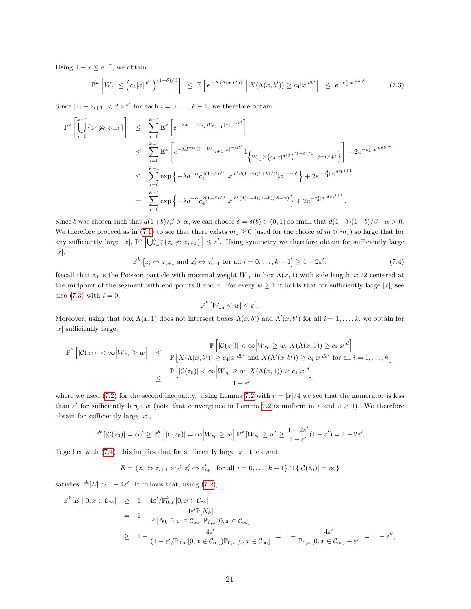Using  $1 - x \leq e^{-x}$ , we obtain

<span id="page-20-0"></span>
$$
\mathbb{P}^{k}\left[W_{z_i} \leq \left(c_4|x|^{\frac{db^i}{2}}\right)^{(1-\delta)/\beta}\right] \leq \mathbb{E}\left[e^{-X(\Lambda(x,b^i))^{\delta}} \Big| X(\Lambda(x,b^i)) \geq c_4|x|^{\frac{db^i}{2}}\right] \leq e^{-c_4^{\delta}|x|^{\frac{db^i}{2}}}.
$$
\n(7.3)

Since  $|z_i - z_{i+1}| < d|x|^{b^i}$  for each  $i = 0, \ldots, k-1$ , we therefore obtain

$$
\mathbb{P}^{k}\left[\bigcup_{i=0}^{k-1}\{z_{i} \nleftrightarrow z_{i+1}\}\right] \leq \sum_{i=0}^{k-1} \mathbb{E}^{k}\left[e^{-\lambda d^{-\alpha}W_{z_{i}}W_{z_{i+1}}|x|^{-\alpha b^{i}}}\right]
$$
\n
$$
\leq \sum_{i=0}^{k-1} \mathbb{E}^{k}\left[e^{-\lambda d^{-\alpha}W_{z_{i}}W_{z_{i+1}}|x|^{-\alpha b^{i}}}\mathbf{1}_{\left\{W_{z_{j}} > (c_{4}|x|^{ab^{j}})^{(1-\delta)/\beta}; j=i, i+1\right\}}\right] + 2e^{-c_{4}^{\delta}|x|^{d\delta b^{i+1}}}
$$
\n
$$
\leq \sum_{i=0}^{k-1} \exp\left\{-\lambda d^{-\alpha}c_{4}^{2(1-\delta)/\beta}|x|^{b^{i}d(1-\delta)(1+b)/\beta}|x|^{-\alpha b^{i}}\right\} + 2e^{-c_{4}^{\delta}|x|^{d\delta b^{i+1}}}
$$
\n
$$
= \sum_{i=0}^{k-1} \exp\left\{-\lambda d^{-\alpha}c_{4}^{2(1-\delta)/\beta}|x|^{b^{i}(d(1-\delta)(1+b)/\beta-\alpha)}\right\} + 2e^{-c_{4}^{\delta}|x|^{d\delta b^{i+1}}}.
$$

Since b was chosen such that  $d(1+b)/\beta > \alpha$ , we can choose  $\delta = \delta(b) \in (0,1)$  so small that  $d(1-\delta)(1+b)/\beta - \alpha > 0$ . We therefore proceed as in [\(7.1\)](#page-19-0) to see that there exists  $m_1 \geq 0$  (used for the choice of  $m > m_1$ ) so large that for any sufficiently large  $|x|, \mathbb{P}^k \left[ \bigcup_{i=0}^{k-1} \{z_i \not\Leftrightarrow z_{i+1}\} \right] \leq \varepsilon'.$  Using symmetry we therefore obtain for sufficiently large  $|x|,$ 

<span id="page-20-1"></span>
$$
\mathbb{P}^{k}\left[z_{i} \Leftrightarrow z_{i+1} \text{ and } z'_{i} \Leftrightarrow z'_{i+1} \text{ for all } i = 0, \ldots, k-1\right] \ge 1 - 2\varepsilon'.\tag{7.4}
$$

Recall that  $z_0$  is the Poisson particle with maximal weight  $W_{z_0}$  in box  $\Lambda(x,1)$  with side length  $|x|/2$  centered at the midpoint of the segment with end points 0 and x. For every  $w \ge 1$  it holds that for sufficiently large |x|, see also  $(7.3)$  with  $i = 0$ ,

$$
\mathbb{P}^k\left[W_{z_0}\leq w\right]\leq \varepsilon'.
$$

Moreover, using that box  $\Lambda(x,1)$  does not intersect boxes  $\Lambda(x,b^i)$  and  $\Lambda'(x,b^i)$  for all  $i=1,\ldots,k$ , we obtain for  $|x|$  sufficiently large,

$$
\mathbb{P}^{k}\left[|\mathcal{C}(z_{0})|<\infty\Big|W_{z_{0}}\geq w\right] \leq \frac{\mathbb{P}\left[|\mathcal{C}(z_{0})|<\infty\Big|W_{z_{0}}\geq w, X(\Lambda(x,1))\geq c_{4}|x|^{d}\right]}{\mathbb{P}\left[X(\Lambda(x,b^{i}))\geq c_{4}|x|^{db^{i}} \text{ and } X(\Lambda'(x,b^{i}))\geq c_{4}|x|^{db^{i}} \text{ for all } i=1,\ldots,k\right]}
$$

$$
\leq \frac{\mathbb{P}\left[|\mathcal{C}(z_{0})|<\infty\Big|W_{z_{0}}\geq w, X(\Lambda(x,1))\geq c_{4}|x|^{d}\right]}{1-\varepsilon'},
$$

where we used [\(7.2\)](#page-19-1) for the second inequality. Using Lemma [7.2](#page-18-1) with  $r = |x|/4$  we see that the numerator is less than  $\varepsilon'$  for sufficiently large w (note that convergence in Lemma [7.2](#page-18-1) is uniform in r and  $c \ge 1$ ). We therefore obtain for sufficiently large  $|x|$ ,

$$
\mathbb{P}^{k}\left[|\mathcal{C}(z_0)|=\infty\right]\geq \mathbb{P}^{k}\left[|\mathcal{C}(z_0)|=\infty \middle| W_{z_0}\geq w\right]\mathbb{P}^{k}\left[ W_{z_0}\geq w\right]\geq \frac{1-2\varepsilon'}{1-\varepsilon'}(1-\varepsilon')=1-2\varepsilon'.
$$

Together with  $(7.4)$ , this implies that for sufficiently large |x|, the event

$$
E = \{ z_i \Leftrightarrow z_{i+1} \text{ and } z'_i \Leftrightarrow z'_{i+1} \text{ for all } i = 0, \ldots, k-1 \} \cap \{ |\mathcal{C}(z_0)| = \infty \}
$$

satisfies  $\mathbb{P}^k[E] > 1 - 4\varepsilon'$ . It follows that, using [\(7.2\)](#page-19-1),

$$
\mathbb{P}^{k}[E | 0, x \in C_{\infty}] \geq 1 - 4\varepsilon'/\mathbb{P}_{0,x}^{k}[0, x \in C_{\infty}]
$$
  
= 
$$
1 - \frac{4\varepsilon'\mathbb{P}[N_{k}]}{\mathbb{P}[N_{k}|0, x \in C_{\infty}]\mathbb{P}_{0,x}[0, x \in C_{\infty}]}
$$
  

$$
\geq 1 - \frac{4\varepsilon'}{(1 - \varepsilon'/\mathbb{P}_{0,x}[0, x \in C_{\infty}])\mathbb{P}_{0,x}[0, x \in C_{\infty}]} = 1 - \frac{4\varepsilon'}{\mathbb{P}_{0,x}[0, x \in C_{\infty}] - \varepsilon'} = 1 - \varepsilon'',
$$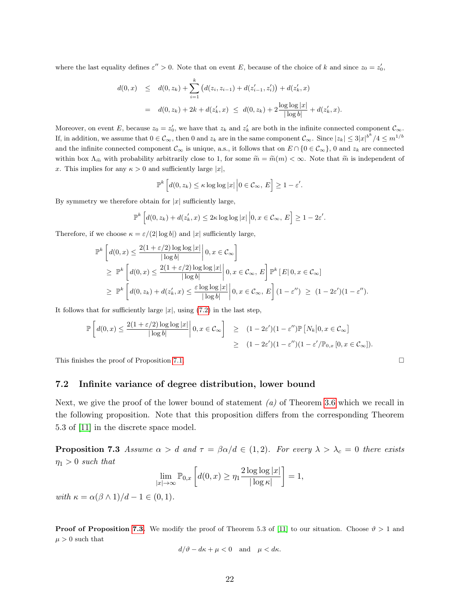where the last equality defines  $\varepsilon'' > 0$ . Note that on event E, because of the choice of k and since  $z_0 = z'_0$ ,

$$
d(0, x) \leq d(0, z_k) + \sum_{i=1}^k \left( d(z_i, z_{i-1}) + d(z'_{i-1}, z'_i) \right) + d(z'_k, x)
$$
  
=  $d(0, z_k) + 2k + d(z'_k, x) \leq d(0, z_k) + 2 \frac{\log \log |x|}{|\log b|} + d(z'_k, x).$ 

Moreover, on event E, because  $z_0 = z'_0$ , we have that  $z_k$  and  $z'_k$  are both in the infinite connected component  $\mathcal{C}_{\infty}$ . If, in addition, we assume that  $0 \in \mathcal{C}_{\infty}$ , then 0 and  $z_k$  are in the same component  $\mathcal{C}_{\infty}$ . Since  $|z_k| \leq 3|x|^{b^k}/4 \leq m^{1/b}$ and the infinite connected component  $\mathcal{C}_{\infty}$  is unique, a.s., it follows that on  $E \cap \{0 \in \mathcal{C}_{\infty}\}\)$ , 0 and  $z_k$  are connected within box  $\Lambda_{\tilde{m}}$  with probability arbitrarily close to 1, for some  $\tilde{m} = \tilde{m}(m) < \infty$ . Note that  $\tilde{m}$  is independent of x. This implies for any  $\kappa > 0$  and sufficiently large  $|x|$ ,

$$
\mathbb{P}^{k}\left[d(0,z_{k})\leq\kappa\log\log|x|\,\Big|0\in\mathcal{C}_{\infty},\,E\right]\geq1-\varepsilon'.
$$

By symmetry we therefore obtain for  $|x|$  sufficiently large,

$$
\mathbb{P}^{k}\left[d(0,z_{k})+d(z'_{k},x)\leq 2\kappa\log\log|x|\,\Big|0,x\in\mathcal{C}_{\infty},\,E\right]\geq 1-2\varepsilon'.
$$

Therefore, if we choose  $\kappa = \varepsilon/(2|\log b|)$  and  $|x|$  sufficiently large,

$$
\mathbb{P}^{k}\left[d(0,x) \leq \frac{2(1+\varepsilon/2)\log\log|x|}{|\log b|}\middle| 0, x \in \mathcal{C}_{\infty}\right] \geq \mathbb{P}^{k}\left[d(0,x) \leq \frac{2(1+\varepsilon/2)\log\log|x|}{|\log b|}\middle| 0, x \in \mathcal{C}_{\infty}, E\right] \mathbb{P}^{k}\left[E|0, x \in \mathcal{C}_{\infty}\right] \geq \mathbb{P}^{k}\left[d(0,z_{k}) + d(z'_{k},x) \leq \frac{\varepsilon \log\log|x|}{|\log b|}\middle| 0, x \in \mathcal{C}_{\infty}, E\right](1-\varepsilon'') \geq (1-2\varepsilon')(1-\varepsilon'').
$$

It follows that for sufficiently large  $|x|$ , using [\(7.2\)](#page-19-1) in the last step,

$$
\mathbb{P}\left[d(0,x) \leq \frac{2(1+\varepsilon/2)\log\log|x|}{|\log b|}\middle| 0, x \in \mathcal{C}_{\infty}\right] \geq (1-2\varepsilon')(1-\varepsilon'')\mathbb{P}\left[N_k\middle|0, x \in \mathcal{C}_{\infty}\right]
$$
  

$$
\geq (1-2\varepsilon')(1-\varepsilon'')(1-\varepsilon'')\mathbb{P}_{0,x}\left[0, x \in \mathcal{C}_{\infty}\right]).
$$

This finishes the proof of Proposition [7.1.](#page-18-2)

### 7.2 Infinite variance of degree distribution, lower bound

Next, we give the proof of the lower bound of statement  $(a)$  of Theorem [3.6](#page-7-1) which we recall in the following proposition. Note that this proposition differs from the corresponding Theorem 5.3 of [\[11\]](#page-30-5) in the discrete space model.

<span id="page-21-0"></span>**Proposition 7.3** Assume  $\alpha > d$  and  $\tau = \beta \alpha/d \in (1, 2)$ . For every  $\lambda > \lambda_c = 0$  there exists  $\eta_1 > 0$  such that

$$
\lim_{|x| \to \infty} \mathbb{P}_{0,x} \left[ d(0,x) \ge \eta_1 \frac{2 \log \log |x|}{|\log \kappa|} \right] = 1,
$$

with  $\kappa = \alpha(\beta \wedge 1)/d - 1 \in (0,1)$ .

**Proof of Proposition [7.3.](#page-21-0)** We modify the proof of Theorem 5.3 of [\[11\]](#page-30-5) to our situation. Choose  $\vartheta > 1$  and  $\mu > 0$  such that

$$
d/\vartheta - d\kappa + \mu < 0 \quad \text{and} \quad \mu < d\kappa.
$$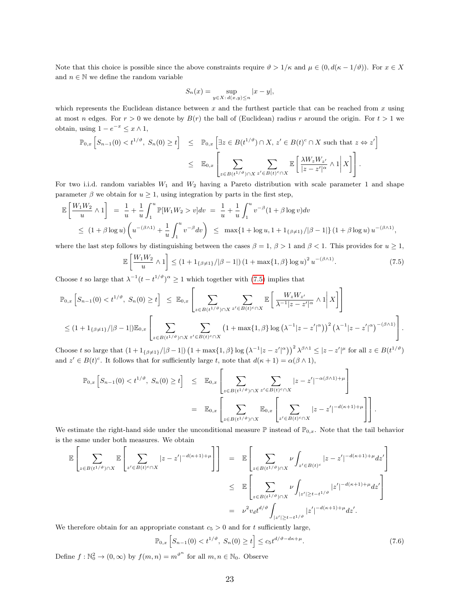Note that this choice is possible since the above constraints require  $\vartheta > 1/\kappa$  and  $\mu \in (0, d(\kappa - 1/\vartheta))$ . For  $x \in X$ and  $n \in \mathbb{N}$  we define the random variable

$$
S_n(x) = \sup_{y \in X: d(x,y) \le n} |x - y|,
$$

which represents the Euclidean distance between  $x$  and the furthest particle that can be reached from  $x$  using at most n edges. For  $r > 0$  we denote by  $B(r)$  the ball of (Euclidean) radius r around the origin. For  $t > 1$  we obtain, using  $1 - e^{-x} \leq x \wedge 1$ ,

$$
\mathbb{P}_{0,x}\left[S_{n-1}(0) < t^{1/\vartheta}, S_n(0) \ge t\right] \le \mathbb{P}_{0,x}\left[\exists z \in B(t^{1/\vartheta}) \cap X, z' \in B(t)^c \cap X \text{ such that } z \Leftrightarrow z'\right]
$$
\n
$$
\le \mathbb{E}_{0,x}\left[\sum_{z \in B(t^{1/\vartheta}) \cap X} \sum_{z' \in B(t)^c \cap X} \mathbb{E}\left[\frac{\lambda W_z W_{z'}}{|z - z'|^{\alpha}} \wedge 1 |X|\right]\right].
$$

For two i.i.d. random variables  $W_1$  and  $W_2$  having a Pareto distribution with scale parameter 1 and shape parameter  $\beta$  we obtain for  $u \geq 1$ , using integration by parts in the first step,

$$
\mathbb{E}\left[\frac{W_1 W_2}{u} \wedge 1\right] = \frac{1}{u} + \frac{1}{u} \int_1^u \mathbb{P}[W_1 W_2 > v] dv = \frac{1}{u} + \frac{1}{u} \int_1^u v^{-\beta} (1 + \beta \log v) dv
$$
  
\n
$$
\leq (1 + \beta \log u) \left(u^{-(\beta \wedge 1)} + \frac{1}{u} \int_1^u v^{-\beta} dv\right) \leq \max\{1 + \log u, 1 + 1_{\{\beta \neq 1\}}/|\beta - 1|\} (1 + \beta \log u) u^{-(\beta \wedge 1)},
$$

where the last step follows by distinguishing between the cases  $\beta = 1$ ,  $\beta > 1$  and  $\beta < 1$ . This provides for  $u \ge 1$ ,

<span id="page-22-0"></span>
$$
\mathbb{E}\left[\frac{W_1 W_2}{u} \wedge 1\right] \le (1 + 1_{\{\beta \neq 1\}}/|\beta - 1|) \left(1 + \max\{1, \beta\} \log u\right)^2 u^{-(\beta \wedge 1)}.\tag{7.5}
$$

Choose t so large that  $\lambda^{-1}(t-t^{1/\vartheta})^{\alpha} \geq 1$  which together with [\(7.5\)](#page-22-0) implies that

$$
\mathbb{P}_{0,x}\left[S_{n-1}(0) < t^{1/\vartheta}, S_n(0) \ge t\right] \le \mathbb{E}_{0,x}\left[\sum_{z \in B(t^{1/\vartheta}) \cap X} \sum_{z' \in B(t^{1/\vartheta}) \cap X} \mathbb{E}\left[\frac{W_z W_{z'}}{\lambda^{-1} |z-z'|^{\alpha}} \wedge 1 \Big| X\right]\right]
$$
  

$$
\le (1 + 1_{\{\beta \neq 1\}}/|\beta - 1|) \mathbb{E}_{0,x}\left[\sum_{z \in B(t^{1/\vartheta}) \cap X} \sum_{z' \in B(t)^c \cap X} \left(1 + \max\{1, \beta\} \log\left(\lambda^{-1} |z-z'|^{\alpha}\right)\right)^2 \left(\lambda^{-1} |z-z'|^{\alpha}\right)^{-(\beta \wedge 1)}\right].
$$

Choose t so large that  $(1+1_{\{\beta\neq 1\}}/|\beta-1|) (1+\max\{1,\beta\}\log(\lambda^{-1}|z-z'|^{\alpha}))^{2} \lambda^{\beta\wedge 1} \leq |z-z'|^{\mu}$  for all  $z \in B(t^{1/\vartheta})$ and  $z' \in B(t)^c$ . It follows that for sufficiently large t, note that  $d(\kappa + 1) = \alpha(\beta \wedge 1)$ ,

$$
\mathbb{P}_{0,x}\left[S_{n-1}(0) < t^{1/\vartheta}, S_n(0) \ge t\right] \le \mathbb{E}_{0,x}\left[\sum_{z \in B(t^{1/\vartheta}) \cap X} \sum_{z' \in B(t)^c \cap X} |z - z'|^{-\alpha(\beta \wedge 1) + \mu}\right]
$$
\n
$$
= \mathbb{E}_{0,x}\left[\sum_{z \in B(t^{1/\vartheta}) \cap X} \mathbb{E}_{0,x}\left[\sum_{z' \in B(t)^c \cap X} |z - z'|^{-d(\kappa + 1) + \mu}\right]\right].
$$

We estimate the right-hand side under the unconditional measure  $\mathbb P$  instead of  $\mathbb P_{0,x}$ . Note that the tail behavior is the same under both measures. We obtain

$$
\mathbb{E}\left[\sum_{z\in B(t^{1/\vartheta})\cap X}\mathbb{E}\left[\sum_{z'\in B(t)^c\cap X}|z-z'|^{-d(\kappa+1)+\mu}\right]\right] = \mathbb{E}\left[\sum_{z\in B(t^{1/\vartheta})\cap X}\nu\int_{z'\in B(t)^c}|z-z'|^{-d(\kappa+1)+\mu}dz'\right]
$$
  
\n
$$
\leq \mathbb{E}\left[\sum_{z\in B(t^{1/\vartheta})\cap X}\nu\int_{|z'|\geq t-t^{1/\vartheta}}|z'|^{-d(\kappa+1)+\mu}dz'\right]
$$
  
\n
$$
= \nu^2v_d t^{d/\vartheta}\int_{|z'|\geq t-t^{1/\vartheta}}|z'|^{-d(\kappa+1)+\mu}dz'.
$$

We therefore obtain for an appropriate constant  $c_5 > 0$  and for t sufficiently large,

<span id="page-22-1"></span>
$$
\mathbb{P}_{0,x}\left[S_{n-1}(0) < t^{1/\vartheta}, \ S_n(0) \ge t\right] \le c_5 t^{d/\vartheta - d\kappa + \mu}.\tag{7.6}
$$

Define  $f: \mathbb{N}_0^2 \to (0, \infty)$  by  $f(m, n) = m^{\vartheta^n}$  for all  $m, n \in \mathbb{N}_0$ . Observe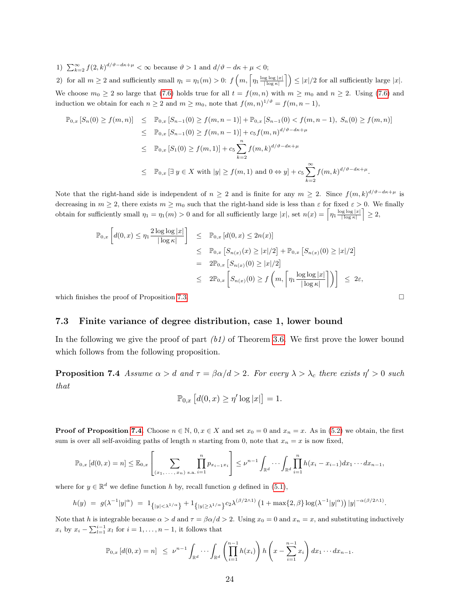1)  $\sum_{k=2}^{\infty} f(2,k)^{d/\vartheta - d\kappa + \mu} < \infty$  because  $\vartheta > 1$  and  $d/\vartheta - d\kappa + \mu < 0$ ;

2) for all  $m \ge 2$  and sufficiently small  $\eta_1 = \eta_1(m) > 0$ :  $f\left(m, \left\lceil \eta_1 \frac{\log \log |x|}{|\log \kappa|} \right\rceil \right) \le |x|/2$  for all sufficiently large  $|x|$ . We choose  $m_0 \geq 2$  so large that [\(7.6\)](#page-22-1) holds true for all  $t = f(m, n)$  with  $m \geq m_0$  and  $n \geq 2$ . Using (7.6) and induction we obtain for each  $n \geq 2$  and  $m \geq m_0$ , note that  $f(m,n)^{1/\vartheta} = f(m,n-1)$ ,

$$
\mathbb{P}_{0,x}[S_n(0) \ge f(m,n)] \le \mathbb{P}_{0,x}[S_{n-1}(0) \ge f(m,n-1)] + \mathbb{P}_{0,x}[S_{n-1}(0) < f(m,n-1), S_n(0) \ge f(m,n)]
$$
\n
$$
\le \mathbb{P}_{0,x}[S_{n-1}(0) \ge f(m,n-1)] + c_5 f(m,n)^{d/\vartheta - d\kappa + \mu}
$$
\n
$$
\le \mathbb{P}_{0,x}[S_1(0) \ge f(m,1)] + c_5 \sum_{k=2}^n f(m,k)^{d/\vartheta - d\kappa + \mu}
$$
\n
$$
\le \mathbb{P}_{0,x}[\exists y \in X \text{ with } |y| \ge f(m,1) \text{ and } 0 \Leftrightarrow y] + c_5 \sum_{k=2}^\infty f(m,k)^{d/\vartheta - d\kappa + \mu}.
$$

Note that the right-hand side is independent of  $n \geq 2$  and is finite for any  $m \geq 2$ . Since  $f(m, k)^{d/\vartheta - d\kappa + \mu}$  is decreasing in  $m \geq 2$ , there exists  $m \geq m_0$  such that the right-hand side is less than  $\varepsilon$  for fixed  $\varepsilon > 0$ . We finally obtain for sufficiently small  $\eta_1 = \eta_1(m) > 0$  and for all sufficiently large  $|x|$ , set  $n(x) = \left\lceil \eta_1 \frac{\log \log |x|}{|\log \kappa|} \right\rceil \geq 2$ ,

$$
\mathbb{P}_{0,x}\left[d(0,x) \leq \eta_1 \frac{2\log\log|x|}{|\log\kappa|}\right] \leq \mathbb{P}_{0,x}\left[d(0,x) \leq 2n(x)\right]
$$
  
\n
$$
\leq \mathbb{P}_{0,x}\left[S_{n(x)}(x) \geq |x|/2\right] + \mathbb{P}_{0,x}\left[S_{n(x)}(0) \geq |x|/2\right]
$$
  
\n
$$
= 2\mathbb{P}_{0,x}\left[S_{n(x)}(0) \geq |x|/2\right]
$$
  
\n
$$
\leq 2\mathbb{P}_{0,x}\left[S_{n(x)}(0) \geq f\left(m, \left\lceil \eta_1 \frac{\log\log|x|}{|\log\kappa|}\right\rceil\right)\right] \leq 2\varepsilon,
$$

which finishes the proof of Proposition [7.3.](#page-21-0)  $\Box$ 

### 7.3 Finite variance of degree distribution, case 1, lower bound

In the following we give the proof of part  $(b1)$  of Theorem [3.6.](#page-7-1) We first prove the lower bound which follows from the following proposition.

<span id="page-23-0"></span>**Proposition 7.4** Assume  $\alpha > d$  and  $\tau = \beta \alpha/d > 2$ . For every  $\lambda > \lambda_c$  there exists  $\eta' > 0$  such that

$$
\mathbb{P}_{0,x}\left[d(0,x)\geq \eta'\log|x|\right]=1.
$$

**Proof of Proposition [7.4.](#page-23-0)** Choose  $n \in \mathbb{N}$ ,  $0, x \in X$  and set  $x_0 = 0$  and  $x_n = x$ . As in [\(5.2\)](#page-12-0) we obtain, the first sum is over all self-avoiding paths of length n starting from 0, note that  $x_n = x$  is now fixed,

$$
\mathbb{P}_{0,x}[d(0,x) = n] \leq \mathbb{E}_{0,x} \left[ \sum_{(x_1, \ldots, x_n) \text{ s.a. } i=1} \prod_{i=1}^n p_{x_{i-1}x_i} \right] \leq \nu^{n-1} \int_{\mathbb{R}^d} \cdots \int_{\mathbb{R}^d} \prod_{i=1}^n h(x_i - x_{i-1}) dx_1 \cdots dx_{n-1},
$$

where for  $y \in \mathbb{R}^d$  we define function h by, recall function g defined in [\(5.1\)](#page-12-1),

$$
h(y) = g(\lambda^{-1}|y|^{\alpha}) = 1_{\{|y| < \lambda^{1/\alpha}\}} + 1_{\{|y| \ge \lambda^{1/\alpha}\}} c_2 \lambda^{(\beta/2 \wedge 1)} \left(1 + \max\{2, \beta\} \log(\lambda^{-1}|y|^{\alpha})\right) |y|^{-\alpha(\beta/2 \wedge 1)}.
$$

Note that h is integrable because  $\alpha > d$  and  $\tau = \beta \alpha/d > 2$ . Using  $x_0 = 0$  and  $x_n = x$ , and substituting inductively  $x_i$  by  $x_i - \sum_{l=1}^{i-1} x_l$  for  $i = 1, ..., n-1$ , it follows that

$$
\mathbb{P}_{0,x}\left[d(0,x)=n\right] \leq \nu^{n-1} \int_{\mathbb{R}^d} \cdots \int_{\mathbb{R}^d} \left(\prod_{i=1}^{n-1} h(x_i)\right) h\left(x - \sum_{i=1}^{n-1} x_i\right) dx_1 \cdots dx_{n-1}.
$$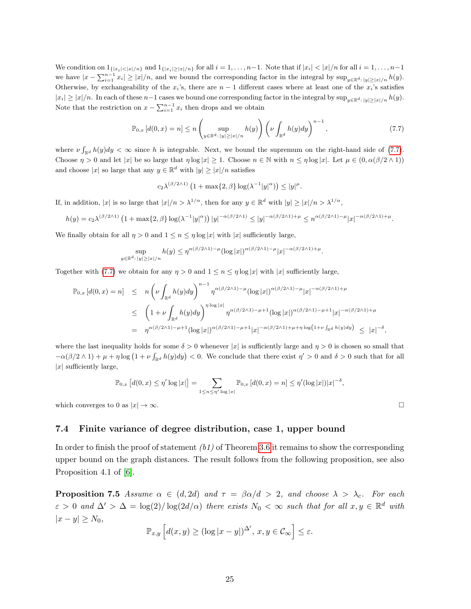We condition on  $1_{\{|x_i| \leq |x|/n\}}$  and  $1_{\{|x_i| \geq |x|/n\}}$  for all  $i = 1, \ldots, n-1$ . Note that if  $|x_i| < |x|/n$  for all  $i = 1, \ldots, n-1$ we have  $|x - \sum_{i=1}^{n-1} x_i| \ge |x|/n$ , and we bound the corresponding factor in the integral by  $\sup_{y \in \mathbb{R}^d : |y| \ge |x|/n} h(y)$ . Otherwise, by exchangeability of the  $x_i$ 's, there are  $n-1$  different cases where at least one of the  $x_i$ 's satisfies  $|x_i| \ge |x|/n$ . In each of these  $n-1$  cases we bound one corresponding factor in the integral by  $\sup_{y \in \mathbb{R}^d : |y| \ge |x|/n} h(y)$ . Note that the restriction on  $x - \sum_{i=1}^{n-1} x_i$  then drops and we obtain

<span id="page-24-0"></span>
$$
\mathbb{P}_{0,x}\left[d(0,x)=n\right] \leq n \left(\sup_{y\in\mathbb{R}^d:\,|y|\geq|x|/n}h(y)\right)\left(\nu\int_{\mathbb{R}^d}h(y)dy\right)^{n-1},\tag{7.7}
$$

where  $\nu \int_{\mathbb{R}^d} h(y) dy < \infty$  since h is integrable. Next, we bound the supremum on the right-hand side of [\(7.7\)](#page-24-0). Choose  $\eta > 0$  and let  $|x|$  be so large that  $\eta \log |x| \geq 1$ . Choose  $n \in \mathbb{N}$  with  $n \leq \eta \log |x|$ . Let  $\mu \in (0, \alpha(\beta/2 \wedge 1))$ and choose |x| so large that any  $y \in \mathbb{R}^d$  with  $|y| \geq |x|/n$  satisfies

$$
c_2\lambda^{(\beta/2 \wedge 1)}\left(1+\max\{2,\beta\}\log(\lambda^{-1}|y|^\alpha)\right) \le |y|^\mu.
$$

If, in addition, |x| is so large that  $|x|/n > \lambda^{1/\alpha}$ , then for any  $y \in \mathbb{R}^d$  with  $|y| \ge |x|/n > \lambda^{1/\alpha}$ ,

$$
h(y) = c_2 \lambda^{(\beta/2 \wedge 1)} \left(1 + \max\{2, \beta\} \log(\lambda^{-1}|y|^{\alpha})\right) |y|^{-\alpha(\beta/2 \wedge 1)} \le |y|^{-\alpha(\beta/2 \wedge 1) + \mu} \le n^{\alpha(\beta/2 \wedge 1) - \mu} |x|^{-\alpha(\beta/2 \wedge 1) + \mu}.
$$

We finally obtain for all  $\eta > 0$  and  $1 \leq n \leq \eta \log |x|$  with  $|x|$  sufficiently large,

$$
\sup_{\mathbb{R}^d: |y| \ge |x|/n} h(y) \le \eta^{\alpha(\beta/2 \wedge 1) - \mu} (\log |x|)^{\alpha(\beta/2 \wedge 1) - \mu} |x|^{-\alpha(\beta/2 \wedge 1) + \mu}.
$$

Together with [\(7.7\)](#page-24-0) we obtain for any  $\eta > 0$  and  $1 \leq n \leq \eta \log |x|$  with  $|x|$  sufficiently large,

$$
\mathbb{P}_{0,x}[d(0,x) = n] \leq n \left(\nu \int_{\mathbb{R}^d} h(y)dy\right)^{n-1} \eta^{\alpha(\beta/2 \wedge 1) - \mu} (\log |x|)^{\alpha(\beta/2 \wedge 1) - \mu} |x|^{-\alpha(\beta/2 \wedge 1) + \mu}
$$
  

$$
\leq \left(1 + \nu \int_{\mathbb{R}^d} h(y)dy\right)^{\eta \log |x|} \eta^{\alpha(\beta/2 \wedge 1) - \mu + 1} (\log |x|)^{\alpha(\beta/2 \wedge 1) - \mu + 1} |x|^{-\alpha(\beta/2 \wedge 1) + \mu}
$$
  

$$
= \eta^{\alpha(\beta/2 \wedge 1) - \mu + 1} (\log |x|)^{\alpha(\beta/2 \wedge 1) - \mu + 1} |x|^{-\alpha(\beta/2 \wedge 1) + \mu + \eta \log (1 + \nu \int_{\mathbb{R}^d} h(y)dy)} \leq |x|^{-\delta},
$$

where the last inequality holds for some  $\delta > 0$  whenever |x| is sufficiently large and  $\eta > 0$  is chosen so small that  $-\alpha(\beta/2 \wedge 1) + \mu + \eta \log(1 + \nu \int_{\mathbb{R}^d} h(y) dy) < 0$ . We conclude that there exist  $\eta' > 0$  and  $\delta > 0$  such that for all  $|x|$  sufficiently large,

$$
\mathbb{P}_{0,x}\left[d(0,x) \leq \eta' \log |x|\right] = \sum_{1 \leq n \leq \eta' \log |x|} \mathbb{P}_{0,x}\left[d(0,x) = n\right] \leq \eta'(\log |x|)|x|^{-\delta},\,
$$

which converges to 0 as  $|x| \to \infty$ .

 $y \in$ 

#### 7.4 Finite variance of degree distribution, case 1, upper bound

In order to finish the proof of statement  $(b1)$  of Theorem [3.6](#page-7-1) it remains to show the corresponding upper bound on the graph distances. The result follows from the following proposition, see also Proposition 4.1 of [\[6\]](#page-29-1).

<span id="page-24-1"></span>**Proposition 7.5** Assume  $\alpha \in (d, 2d)$  and  $\tau = \beta \alpha/d > 2$ , and choose  $\lambda > \lambda_c$ . For each  $\varepsilon > 0$  and  $\Delta' > \Delta = \log(2)/\log(2d/\alpha)$  there exists  $N_0 < \infty$  such that for all  $x, y \in \mathbb{R}^d$  with  $|x - y| \geq N_0,$ 

$$
\mathbb{P}_{x,y}\left[d(x,y)\geq (\log|x-y|)^{\Delta'}, x,y\in\mathcal{C}_{\infty}\right]\leq\varepsilon.
$$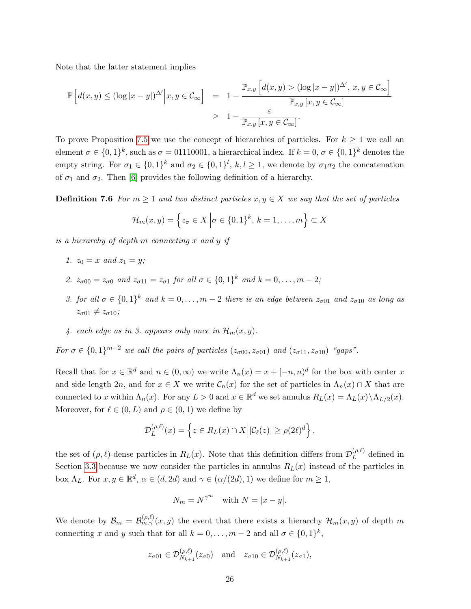Note that the latter statement implies

$$
\mathbb{P}\left[d(x,y) \leq (\log|x-y|)^{\Delta'}\Big|x,y \in \mathcal{C}_{\infty}\right] = 1 - \frac{\mathbb{P}_{x,y}\left[d(x,y) > (\log|x-y|)^{\Delta'}, x,y \in \mathcal{C}_{\infty}\right]}{\mathbb{P}_{x,y}\left[x,y \in \mathcal{C}_{\infty}\right]}
$$
  

$$
\geq 1 - \frac{\varepsilon}{\mathbb{P}_{x,y}\left[x,y \in \mathcal{C}_{\infty}\right]}.
$$

To prove Proposition [7.5](#page-24-1) we use the concept of hierarchies of particles. For  $k \geq 1$  we call an element  $\sigma \in \{0,1\}^k$ , such as  $\sigma = 01110001$ , a hierarchical index. If  $k = 0, \sigma \in \{0,1\}^k$  denotes the empty string. For  $\sigma_1 \in \{0,1\}^k$  and  $\sigma_2 \in \{0,1\}^l$ ,  $k,l \geq 1$ , we denote by  $\sigma_1 \sigma_2$  the concatenation of  $\sigma_1$  and  $\sigma_2$ . Then [\[6\]](#page-29-1) provides the following definition of a hierarchy.

<span id="page-25-0"></span>**Definition 7.6** For  $m \geq 1$  and two distinct particles  $x, y \in X$  we say that the set of particles

$$
\mathcal{H}_m(x,y) = \left\{ z_{\sigma} \in X \, \middle| \, \sigma \in \{0,1\}^k, \, k = 1,\ldots,m \right\} \subset X
$$

is a hierarchy of depth m connecting x and y if

- 1.  $z_0 = x$  and  $z_1 = y$ ;
- 2.  $z_{\sigma 00} = z_{\sigma 0}$  and  $z_{\sigma 11} = z_{\sigma 1}$  for all  $\sigma \in \{0, 1\}^k$  and  $k = 0, ..., m 2$ ;
- 3. for all  $\sigma \in \{0,1\}^k$  and  $k = 0, \ldots, m-2$  there is an edge between  $z_{\sigma 01}$  and  $z_{\sigma 10}$  as long as  $z_{\sigma 01} \neq z_{\sigma 10}$ ;
- 4. each edge as in 3. appears only once in  $\mathcal{H}_m(x, y)$ .

For  $\sigma \in \{0,1\}^{m-2}$  we call the pairs of particles  $(z_{\sigma 00}, z_{\sigma 01})$  and  $(z_{\sigma 11}, z_{\sigma 10})$  "gaps".

Recall that for  $x \in \mathbb{R}^d$  and  $n \in (0, \infty)$  we write  $\Lambda_n(x) = x + [-n, n]^d$  for the box with center x and side length 2n, and for  $x \in X$  we write  $\mathcal{C}_n(x)$  for the set of particles in  $\Lambda_n(x) \cap X$  that are connected to x within  $\Lambda_n(x)$ . For any  $L > 0$  and  $x \in \mathbb{R}^d$  we set annulus  $R_L(x) = \Lambda_L(x) \setminus \Lambda_{L/2}(x)$ . Moreover, for  $\ell \in (0, L)$  and  $\rho \in (0, 1)$  we define by

$$
\mathcal{D}_L^{(\rho,\ell)}(x) = \left\{ z \in R_L(x) \cap X \middle| |\mathcal{C}_\ell(z)| \ge \rho(2\ell)^d \right\},\,
$$

the set of  $(\rho, \ell)$ -dense particles in  $R_L(x)$ . Note that this definition differs from  $\mathcal{D}_L^{(\rho, \ell)}$  $L^{(\rho,\epsilon)}$  defined in Section [3.3](#page-6-5) because we now consider the particles in annulus  $R_L(x)$  instead of the particles in box  $\Lambda_L$ . For  $x, y \in \mathbb{R}^d$ ,  $\alpha \in (d, 2d)$  and  $\gamma \in (\alpha/(2d), 1)$  we define for  $m \ge 1$ ,

$$
N_m = N^{\gamma^m} \quad \text{with } N = |x - y|.
$$

We denote by  $\mathcal{B}_m = \mathcal{B}_{m,\gamma}^{(\rho,\ell)}(x,y)$  the event that there exists a hierarchy  $\mathcal{H}_m(x,y)$  of depth m connecting x and y such that for all  $k = 0, \ldots, m - 2$  and all  $\sigma \in \{0, 1\}^k$ ,

$$
z_{\sigma 01} \in \mathcal{D}_{N_{k+1}}^{(\rho,\ell)}(z_{\sigma 0}) \quad \text{and} \quad z_{\sigma 10} \in \mathcal{D}_{N_{k+1}}^{(\rho,\ell)}(z_{\sigma 1}),
$$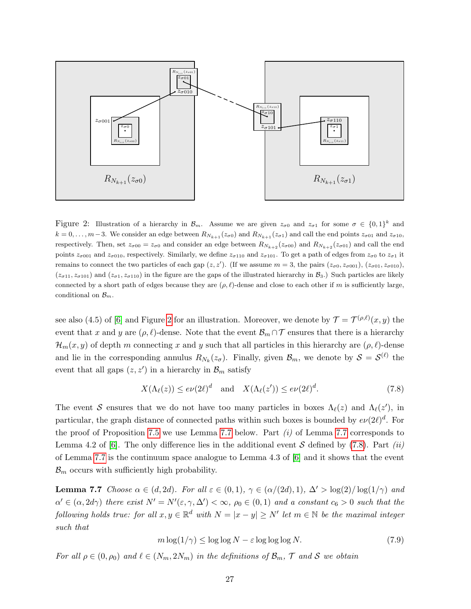<span id="page-26-0"></span>

Figure 2: Illustration of a hierarchy in  $\mathcal{B}_m$ . Assume we are given  $z_{\sigma 0}$  and  $z_{\sigma 1}$  for some  $\sigma \in \{0,1\}^k$  and  $k = 0, \ldots, m-3$ . We consider an edge between  $R_{N_{k+1}}(z_{\sigma 0})$  and  $R_{N_{k+1}}(z_{\sigma 1})$  and call the end points  $z_{\sigma 01}$  and  $z_{\sigma 10}$ , respectively. Then, set  $z_{\sigma 00} = z_{\sigma 0}$  and consider an edge between  $R_{N_{k+2}}(z_{\sigma 00})$  and  $R_{N_{k+2}}(z_{\sigma 01})$  and call the end points  $z_{\sigma001}$  and  $z_{\sigma010}$ , respectively. Similarly, we define  $z_{\sigma110}$  and  $z_{\sigma101}$ . To get a path of edges from  $z_{\sigma0}$  to  $z_{\sigma1}$  it remains to connect the two particles of each gap  $(z, z')$ . (If we assume  $m = 3$ , the pairs  $(z_{\sigma0}, z_{\sigma001})$ ,  $(z_{\sigma01}, z_{\sigma010})$ ,  $(z_{\sigma11}, z_{\sigma101})$  and  $(z_{\sigma1}, z_{\sigma110})$  in the figure are the gaps of the illustrated hierarchy in  $\mathcal{B}_3$ .) Such particles are likely connected by a short path of edges because they are  $(\rho, \ell)$ -dense and close to each other if m is sufficiently large, conditional on  $\mathcal{B}_m$ .

see also (4.5) of [\[6\]](#page-29-1) and Figure [2](#page-26-0) for an illustration. Moreover, we denote by  $\mathcal{T} = \mathcal{T}^{(\rho,\ell)}(x,y)$  the event that x and y are  $(\rho, \ell)$ -dense. Note that the event  $\mathcal{B}_m \cap \mathcal{T}$  ensures that there is a hierarchy  $\mathcal{H}_m(x, y)$  of depth m connecting x and y such that all particles in this hierarchy are  $(\rho, \ell)$ -dense and lie in the corresponding annulus  $R_{N_k}(z_{\sigma})$ . Finally, given  $\mathcal{B}_m$ , we denote by  $\mathcal{S} = \mathcal{S}^{(\ell)}$  the event that all gaps  $(z, z')$  in a hierarchy in  $\mathcal{B}_m$  satisfy

<span id="page-26-2"></span>
$$
X(\Lambda_{\ell}(z)) \le e\nu(2\ell)^d \quad \text{and} \quad X(\Lambda_{\ell}(z')) \le e\nu(2\ell)^d. \tag{7.8}
$$

The event S ensures that we do not have too many particles in boxes  $\Lambda_{\ell}(z)$  and  $\Lambda_{\ell}(z')$ , in particular, the graph distance of connected paths within such boxes is bounded by  $e\nu(2\ell)^d$ . For the proof of Proposition [7.5](#page-24-1) we use Lemma [7.7](#page-26-1) below. Part  $(i)$  of Lemma 7.7 corresponds to Lemma 4.2 of [\[6\]](#page-29-1). The only difference lies in the additional event S defined by [\(7.8\)](#page-26-2). Part (ii) of Lemma [7.7](#page-26-1) is the continuum space analogue to Lemma 4.3 of [\[6\]](#page-29-1) and it shows that the event  $\mathcal{B}_m$  occurs with sufficiently high probability.

<span id="page-26-1"></span>**Lemma 7.7** Choose  $\alpha \in (d, 2d)$ . For all  $\varepsilon \in (0, 1)$ ,  $\gamma \in (\alpha/(2d), 1)$ ,  $\Delta' > \log(2)/\log(1/\gamma)$  and  $\alpha' \in (\alpha, 2d\gamma)$  there exist  $N' = N'(\epsilon, \gamma, \Delta') < \infty$ ,  $\rho_0 \in (0, 1)$  and a constant  $c_6 > 0$  such that the following holds true: for all  $x, y \in \mathbb{R}^d$  with  $N = |x - y| \ge N'$  let  $m \in \mathbb{N}$  be the maximal integer such that

<span id="page-26-3"></span>
$$
m \log(1/\gamma) \le \log \log N - \varepsilon \log \log \log N. \tag{7.9}
$$

For all  $\rho \in (0, \rho_0)$  and  $\ell \in (N_m, 2N_m)$  in the definitions of  $\mathcal{B}_m$ ,  $\mathcal T$  and  $\mathcal S$  we obtain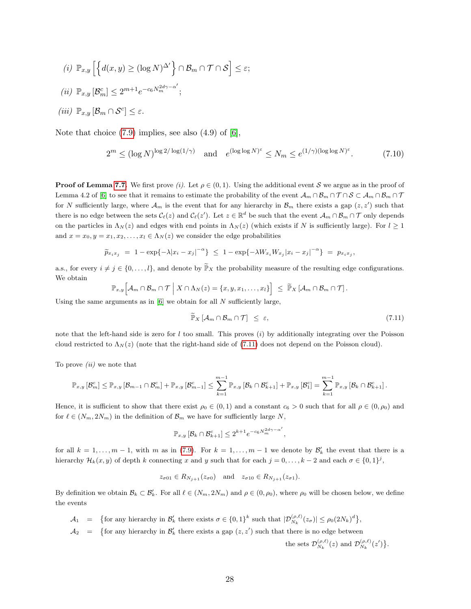$$
(i) \mathbb{P}_{x,y} \left[ \left\{ d(x,y) \ge (\log N)^{\Delta'} \right\} \cap \mathcal{B}_m \cap \mathcal{T} \cap \mathcal{S} \right] \le \varepsilon;
$$
  

$$
(ii) \mathbb{P}_{x,y} \left[ \mathcal{B}_m^c \right] \le 2^{m+1} e^{-c_6 N_m^{2d\gamma - \alpha'}};
$$
  

$$
(iii) \mathbb{P}_{x,y} \left[ \mathcal{B}_m \cap \mathcal{S}^c \right] \le \varepsilon.
$$

Note that choice  $(7.9)$  implies, see also  $(4.9)$  of  $[6]$ ,

<span id="page-27-1"></span>
$$
2^m \le (\log N)^{\log 2/\log(1/\gamma)} \quad \text{and} \quad e^{(\log \log N)^{\varepsilon}} \le N_m \le e^{(1/\gamma)(\log \log N)^{\varepsilon}}. \tag{7.10}
$$

**Proof of Lemma [7.7.](#page-26-1)** We first prove (i). Let  $\rho \in (0,1)$ . Using the additional event S we argue as in the proof of Lemma 4.2 of [\[6\]](#page-29-1) to see that it remains to estimate the probability of the event  $\mathcal{A}_m \cap \mathcal{B}_m \cap \mathcal{T} \cap \mathcal{S} \subset \mathcal{A}_m \cap \mathcal{B}_m \cap \mathcal{T}$ for N sufficiently large, where  $\mathcal{A}_m$  is the event that for any hierarchy in  $\mathcal{B}_m$  there exists a gap  $(z, z')$  such that there is no edge between the sets  $\mathcal{C}_{\ell}(z)$  and  $\mathcal{C}_{\ell}(z')$ . Let  $z \in \mathbb{R}^d$  be such that the event  $\mathcal{A}_m \cap \mathcal{B}_m \cap \mathcal{T}$  only depends on the particles in  $\Lambda_N(z)$  and edges with end points in  $\Lambda_N(z)$  (which exists if N is sufficiently large). For  $l \geq 1$ and  $x = x_0, y = x_1, x_2, \dots, x_l \in \Lambda_N(z)$  we consider the edge probabilities

$$
\widetilde{p}_{x_ix_j} = 1 - \exp\{-\lambda |x_i - x_j|^{-\alpha}\} \le 1 - \exp\{-\lambda W_{x_i} W_{x_j} |x_i - x_j|^{-\alpha}\} = p_{x_ix_j},
$$

a.s., for every  $i \neq j \in \{0, \ldots, l\}$ , and denote by  $\widetilde{\mathbb{P}}_X$  the probability measure of the resulting edge configurations. We obtain

$$
\mathbb{P}_{x,y}\Big[\mathcal{A}_m\cap\mathcal{B}_m\cap\mathcal{T}\Big|\ X\cap\Lambda_N(z)=\{x,y,x_1,\ldots,x_l\}\Big]\ \leq\ \widetilde{\mathbb{P}}_X\left[\mathcal{A}_m\cap\mathcal{B}_m\cap\mathcal{T}\right].
$$

Using the same arguments as in  $[6]$  we obtain for all N sufficiently large,

<span id="page-27-0"></span>
$$
\widetilde{\mathbb{P}}_X \left[ \mathcal{A}_m \cap \mathcal{B}_m \cap \mathcal{T} \right] \leq \varepsilon, \tag{7.11}
$$

note that the left-hand side is zero for  $l$  too small. This proves  $(i)$  by additionally integrating over the Poisson cloud restricted to  $\Lambda_N(z)$  (note that the right-hand side of [\(7.11\)](#page-27-0) does not depend on the Poisson cloud).

To prove  $(ii)$  we note that

$$
\mathbb{P}_{x,y}\left[\mathcal{B}_{m}^{c}\right] \leq \mathbb{P}_{x,y}\left[\mathcal{B}_{m-1} \cap \mathcal{B}_{m}^{c}\right] + \mathbb{P}_{x,y}\left[\mathcal{B}_{m-1}^{c}\right] \leq \sum_{k=1}^{m-1} \mathbb{P}_{x,y}\left[\mathcal{B}_{k} \cap \mathcal{B}_{k+1}^{c}\right] + \mathbb{P}_{x,y}\left[\mathcal{B}_{1}^{c}\right] = \sum_{k=1}^{m-1} \mathbb{P}_{x,y}\left[\mathcal{B}_{k} \cap \mathcal{B}_{k+1}^{c}\right].
$$

Hence, it is sufficient to show that there exist  $\rho_0 \in (0,1)$  and a constant  $c_6 > 0$  such that for all  $\rho \in (0,\rho_0)$  and for  $\ell \in (N_m, 2N_m)$  in the definition of  $\mathcal{B}_m$  we have for sufficiently large N,

$$
\mathbb{P}_{x,y}\left[\mathcal{B}_k \cap \mathcal{B}_{k+1}^c\right] \le 2^{k+1} e^{-c_6 N_m^{2d\gamma - \alpha'}},
$$

for all  $k = 1, \ldots, m-1$ , with m as in [\(7.9\)](#page-26-3). For  $k = 1, \ldots, m-1$  we denote by  $\mathcal{B}'_k$  the event that there is a hierarchy  $\mathcal{H}_k(x, y)$  of depth k connecting x and y such that for each  $j = 0, \ldots, k-2$  and each  $\sigma \in \{0, 1\}^j$ ,

$$
z_{\sigma 01} \in R_{N_{j+1}}(z_{\sigma 0}) \quad \text{and} \quad z_{\sigma 10} \in R_{N_{j+1}}(z_{\sigma 1}).
$$

By definition we obtain  $\mathcal{B}_k \subset \mathcal{B}'_k$ . For all  $\ell \in (N_m, 2N_m)$  and  $\rho \in (0, \rho_0)$ , where  $\rho_0$  will be chosen below, we define the events

- $A_1 = \{$  for any hierarchy in  $\mathcal{B}'_k$  there exists  $\sigma \in \{0,1\}^k$  such that  $|\mathcal{D}_{N_k}^{(\rho,\ell)}(z_{\sigma})| \leq \rho_0(2N_k)^d \},$
- $A_2 = \{$  for any hierarchy in  $\mathcal{B}'_k$  there exists a gap  $(z, z')$  such that there is no edge between

the sets  $\mathcal{D}_{N_k}^{(\rho,\ell)}(z)$  and  $\mathcal{D}_{N_k}^{(\rho,\ell)}(z')\big\}$ .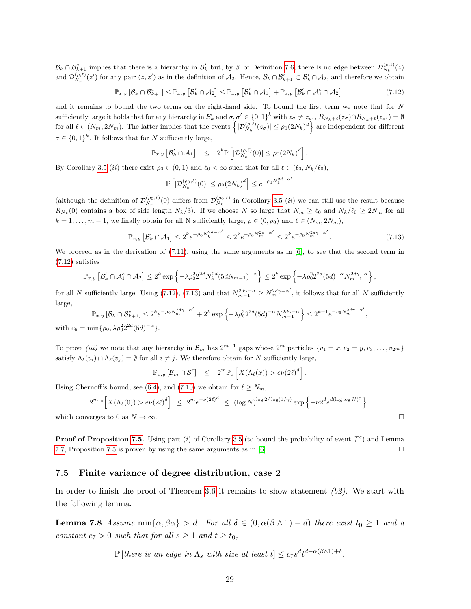$\mathcal{B}_k \cap \mathcal{B}_{k+1}^c$  implies that there is a hierarchy in  $\mathcal{B}'_k$  but, by 3. of Definition [7.6,](#page-25-0) there is no edge between  $\mathcal{D}_{N_k}^{(\rho,\ell)}(z)$ and  $\mathcal{D}_{N_k}^{(\rho,\ell)}(z')$  for any pair  $(z, z')$  as in the definition of  $\mathcal{A}_2$ . Hence,  $\mathcal{B}_k \cap \mathcal{B}_{k+1}^c \subset \mathcal{B}'_k \cap \mathcal{A}_2$ , and therefore we obtain

<span id="page-28-0"></span>
$$
\mathbb{P}_{x,y}\left[\mathcal{B}_k\cap\mathcal{B}_{k+1}^c\right] \leq \mathbb{P}_{x,y}\left[\mathcal{B}_k'\cap\mathcal{A}_2\right] \leq \mathbb{P}_{x,y}\left[\mathcal{B}_k'\cap\mathcal{A}_1\right] + \mathbb{P}_{x,y}\left[\mathcal{B}_k'\cap\mathcal{A}_1^c\cap\mathcal{A}_2\right],\tag{7.12}
$$

and it remains to bound the two terms on the right-hand side. To bound the first term we note that for N sufficiently large it holds that for any hierarchy in  $\mathcal{B}'_k$  and  $\sigma, \sigma' \in \{0,1\}^k$  with  $z_{\sigma} \neq z_{\sigma'}$ ,  $R_{N_k+\ell}(z_{\sigma}) \cap R_{N_k+\ell}(z_{\sigma'}) = \emptyset$ for all  $\ell \in (N_m, 2N_m)$ . The latter implies that the events  $\left\{ |\mathcal{D}_{N_k}^{(\rho,\ell)}(z_\sigma)| \leq \rho_0 (2N_k)^d \right\}$  are independent for different  $\sigma \in \{0,1\}^k$ . It follows that for N sufficiently large,

$$
\mathbb{P}_{x,y}\left[\mathcal{B}'_k \cap \mathcal{A}_1\right] \leq 2^k \mathbb{P}\left[|\mathcal{D}_{N_k}^{(\rho,\ell)}(0)| \leq \rho_0 (2N_k)^d\right].
$$

By Corollary [3.5](#page-7-0) (*ii*) there exist  $\rho_0 \in (0, 1)$  and  $\ell_0 < \infty$  such that for all  $\ell \in (\ell_0, N_k/\ell_0)$ ,

$$
\mathbb{P}\left[|\mathcal{D}_{N_k}^{(\rho_0,\ell)}(0)| \le \rho_0 (2N_k)^d\right] \le e^{-\rho_0 N_k^{2d-\alpha'}}
$$

(although the definition of  $\mathcal{D}_{N_k}^{(\rho_0,\ell)}(0)$  differs from  $\mathcal{D}_{N_k}^{(\rho_0,\ell)}$  in Corollary [3.5](#page-7-0) *(ii)* we can still use the result because  $R_{N_k}(0)$  contains a box of side length  $N_k/3$ . If we choose N so large that  $N_m \geq \ell_0$  and  $N_k/\ell_0 \geq 2N_m$  for all  $k = 1, \ldots, m - 1$ , we finally obtain for all N sufficiently large,  $\rho \in (0, \rho_0)$  and  $\ell \in (N_m, 2N_m)$ ,

<span id="page-28-1"></span>
$$
\mathbb{P}_{x,y}\left[\mathcal{B}'_k \cap \mathcal{A}_1\right] \le 2^k e^{-\rho_0 N_k^{2d-\alpha'}} \le 2^k e^{-\rho_0 N_m^{2d-\alpha'}} \le 2^k e^{-\rho_0 N_m^{2d\gamma-\alpha'}}.
$$
\n(7.13)

We proceed as in the derivation of  $(7.11)$ , using the same arguments as in [\[6\]](#page-29-1), to see that the second term in [\(7.12\)](#page-28-0) satisfies

$$
\mathbb{P}_{x,y}\left[\mathcal{B}'_k\cap \mathcal{A}_1^c\cap \mathcal{A}_2\right]\leq 2^k\exp\left\{-\lambda \rho_0^22^{2d}N_k^{2d}(5dN_{m-1})^{-\alpha}\right\}\leq 2^k\exp\left\{-\lambda \rho_0^22^{2d}(5d)^{-\alpha}N_{m-1}^{2d\gamma-\alpha}\right\},
$$

for all N sufficiently large. Using [\(7.12\)](#page-28-0), [\(7.13\)](#page-28-1) and that  $N_{m-1}^{2d\gamma-\alpha} \ge N_{m}^{2d\gamma-\alpha'}$ , it follows that for all N sufficiently large,

$$
\mathbb{P}_{x,y}\left[\mathcal{B}_k \cap \mathcal{B}_{k+1}^c\right] \le 2^k e^{-\rho_0 N_m^{2d\gamma - \alpha'}} + 2^k \exp\left\{-\lambda \rho_0^2 2^{2d} (5d)^{-\alpha} N_{m-1}^{2d\gamma - \alpha}\right\} \le 2^{k+1} e^{-c_6 N_m^{2d\gamma - \alpha'}},
$$

with  $c_6 = \min\{\rho_0, \lambda \rho_0^2 2^{2d} (5d)^{-\alpha}\}.$ 

To prove *(iii)* we note that any hierarchy in  $\mathcal{B}_m$  has  $2^{m-1}$  gaps whose  $2^m$  particles  $\{v_1 = x, v_2 = y, v_3, \ldots, v_{2^m}\}\$ satisfy  $\Lambda_{\ell}(v_i) \cap \Lambda_{\ell}(v_j) = \emptyset$  for all  $i \neq j$ . We therefore obtain for N sufficiently large,

$$
\mathbb{P}_{x,y}\left[\mathcal{B}_m\cap\mathcal{S}^c\right] \leq 2^m \mathbb{P}_x\left[X(\Lambda_{\ell}(x)) > e\nu(2\ell)^d\right].
$$

Using Chernoff's bound, see [\(6.4\)](#page-16-0), and [\(7.10\)](#page-27-1) we obtain for  $\ell \geq N_m$ ,

$$
2^m \mathbb{P}\left[X(\Lambda_\ell(0)) > e\nu(2\ell)^d\right] \le 2^m e^{-\nu(2\ell)^d} \le (\log N)^{\log 2/\log(1/\gamma)} \exp\left\{-\nu 2^d e^{d(\log \log N)^\varepsilon}\right\},\
$$
 which converges to 0 as  $N \to \infty$ .

**Proof of Proposition [7.5.](#page-24-1)** Using part (*i*) of Corollary [3.5](#page-7-0) (to bound the probability of event  $\mathcal{T}^c$ ) and Lemma [7.7,](#page-26-1) Proposition [7.5](#page-24-1) is proven by using the same arguments as in [\[6\]](#page-29-1).

#### 7.5 Finite variance of degree distribution, case 2

In order to finish the proof of Theorem [3.6](#page-7-1) it remains to show statement  $(b2)$ . We start with the following lemma.

<span id="page-28-2"></span>**Lemma 7.8** Assume  $\min\{\alpha, \beta\alpha\} > d$ . For all  $\delta \in (0, \alpha(\beta \wedge 1) - d)$  there exist  $t_0 \geq 1$  and a constant  $c_7 > 0$  such that for all  $s \ge 1$  and  $t \ge t_0$ ,

 $\mathbb{P}\left[there \text{ is an edge in } \Lambda_s \text{ with size at least } t\right] \leq c_7 s^d t^{d-\alpha(\beta \wedge 1)+\delta}.$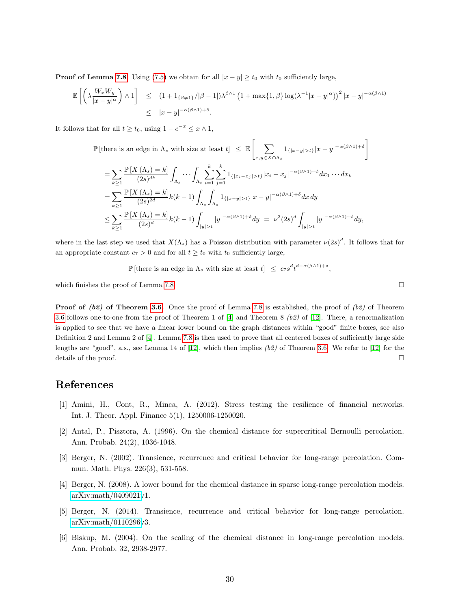**Proof of Lemma [7.8.](#page-28-2)** Using [\(7.5\)](#page-22-0) we obtain for all  $|x - y| \ge t_0$  with t<sub>0</sub> sufficiently large,

$$
\mathbb{E}\left[\left(\lambda \frac{W_x W_y}{|x-y|^\alpha}\right) \wedge 1\right] \leq (1 + 1_{\{\beta \neq 1\}}/|\beta - 1|) \lambda^{\beta \wedge 1} \left(1 + \max\{1, \beta\} \log(\lambda^{-1}|x-y|^\alpha)\right)^2 |x-y|^{-\alpha(\beta \wedge 1)} \leq |x-y|^{-\alpha(\beta \wedge 1) + \delta}.
$$

It follows that for all  $t \ge t_0$ , using  $1 - e^{-x} \le x \wedge 1$ ,

$$
\mathbb{P}\left[\text{there is an edge in } \Lambda_s \text{ with size at least } t\right] \leq \mathbb{E}\left[\sum_{x,y\in X\cap\Lambda_s} \mathbf{1}_{\{|x-y|>t\}} |x-y|^{-\alpha(\beta\wedge 1)+\delta}\right]
$$

$$
= \sum_{k\geq 1} \frac{\mathbb{P}\left[X\left(\Lambda_{s}\right) = k\right]}{(2s)^{dk}} \int_{\Lambda_{s}} \cdots \int_{\Lambda_{s}} \sum_{i=1}^{k} \sum_{j=1}^{k} 1_{\{|x_{i} - x_{j}| > t\}} |x_{i} - x_{j}|^{-\alpha(\beta \wedge 1) + \delta} dx_{1} \cdots dx_{k}
$$
  
\n
$$
= \sum_{k\geq 1} \frac{\mathbb{P}\left[X\left(\Lambda_{s}\right) = k\right]}{(2s)^{2d}} k(k-1) \int_{\Lambda_{s}} \int_{\Lambda_{s}} 1_{\{|x - y| > t\}} |x - y|^{-\alpha(\beta \wedge 1) + \delta} dx dy
$$
  
\n
$$
\leq \sum_{k\geq 1} \frac{\mathbb{P}\left[X\left(\Lambda_{s}\right) = k\right]}{(2s)^{d}} k(k-1) \int_{|y| > t} |y|^{-\alpha(\beta \wedge 1) + \delta} dy = \nu^{2} (2s)^{d} \int_{|y| > t} |y|^{-\alpha(\beta \wedge 1) + \delta} dy,
$$

where in the last step we used that  $X(\Lambda_s)$  has a Poisson distribution with parameter  $\nu(2s)^d$ . It follows that for an appropriate constant  $c_7 > 0$  and for all  $t \geq t_0$  with  $t_0$  sufficiently large,

 $\mathbb{P}[\text{there is an edge in } \Lambda_s \text{ with size at least } t] \leq c_7 s^d t^{d-\alpha(\beta \wedge 1)+\delta},$ 

which finishes the proof of Lemma [7.8.](#page-28-2)  $\Box$ 

**Proof of (b2) of Theorem [3.6.](#page-7-1)** Once the proof of Lemma [7.8](#page-28-2) is established, the proof of (b2) of Theorem [3.6](#page-7-1) follows one-to-one from the proof of Theorem 1 of [\[4\]](#page-29-3) and Theorem 8 (b2) of [\[12\]](#page-30-9). There, a renormalization is applied to see that we have a linear lower bound on the graph distances within "good" finite boxes, see also Definition 2 and Lemma 2 of [\[4\]](#page-29-3). Lemma [7.8](#page-28-2) is then used to prove that all centered boxes of sufficiently large side lengths are "good", a.s., see Lemma 14 of [\[12\]](#page-30-9), which then implies (b2) of Theorem [3.6.](#page-7-1) We refer to [\[12\]](#page-30-9) for the details of the proof.  $\Box$ 

# References

- <span id="page-29-0"></span>[1] Amini, H., Cont, R., Minca, A. (2012). Stress testing the resilience of financial networks. Int. J. Theor. Appl. Finance 5(1), 1250006-1250020.
- <span id="page-29-4"></span>[2] Antal, P., Pisztora, A. (1996). On the chemical distance for supercritical Bernoulli percolation. Ann. Probab. 24(2), 1036-1048.
- <span id="page-29-2"></span>[3] Berger, N. (2002). Transience, recurrence and critical behavior for long-range percolation. Commun. Math. Phys. 226(3), 531-558.
- <span id="page-29-3"></span>[4] Berger, N. (2008). A lower bound for the chemical distance in sparse long-range percolation models. [arXiv:math/0409021v](http://arxiv.org/abs/math/0409021)1.
- <span id="page-29-5"></span>[5] Berger, N. (2014). Transience, recurrence and critical behavior for long-range percolation. [arXiv:math/0110296v](http://arxiv.org/abs/math/0110296)3.
- <span id="page-29-1"></span>[6] Biskup, M. (2004). On the scaling of the chemical distance in long-range percolation models. Ann. Probab. 32, 2938-2977.